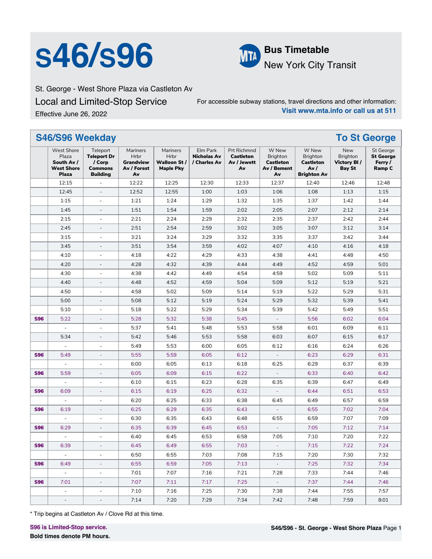# **S46/S96 Bus Timetable**



New York City Transit

St. George - West Shore Plaza via Castleton Av Local and Limited-Stop Service Effective June 26, 2022

For accessible subway stations, travel directions and other information: **Visit www.mta.info or call us at 511**

|            | S46/S96 Weekday                                                               |                                                                               |                                                                  |                                                     |                                                |                                                             |                                                            |                                                                    |                                                               | <b>To St George</b>                                              |
|------------|-------------------------------------------------------------------------------|-------------------------------------------------------------------------------|------------------------------------------------------------------|-----------------------------------------------------|------------------------------------------------|-------------------------------------------------------------|------------------------------------------------------------|--------------------------------------------------------------------|---------------------------------------------------------------|------------------------------------------------------------------|
|            | <b>West Shore</b><br>Plaza<br>South Av /<br><b>West Shore</b><br><b>Plaza</b> | Teleport<br><b>Teleport Dr</b><br>/ Corp<br><b>Commons</b><br><b>Building</b> | Mariners<br><b>Hrbr</b><br><b>Grandview</b><br>Av / Forest<br>Av | Mariners<br>Hrbr<br>Walloon St/<br><b>Maple Pky</b> | Elm Park<br><b>Nicholas Av</b><br>/ Charles Av | <b>Prt Richmnd</b><br><b>Castleton</b><br>Av / Jewett<br>Av | W New<br>Brighton<br><b>Castleton</b><br>Av / Bement<br>Av | W New<br>Brighton<br><b>Castleton</b><br>Av/<br><b>Brighton Av</b> | <b>New</b><br>Brighton<br><b>Victory BI/</b><br><b>Bay St</b> | <b>St George</b><br><b>St George</b><br>Ferry /<br><b>Ramp C</b> |
|            | 12:15                                                                         |                                                                               | 12:22                                                            | 12:25                                               | 12:30                                          | 12:33                                                       | 12:37                                                      | 12:40                                                              | 12:46                                                         | 12:48                                                            |
|            | 12:45                                                                         | $\frac{1}{2}$                                                                 | 12:52                                                            | 12:55                                               | 1:00                                           | 1:03                                                        | 1:06                                                       | 1:08                                                               | 1:13                                                          | 1:15                                                             |
|            | 1:15                                                                          | $\overline{\phantom{a}}$                                                      | 1:21                                                             | 1:24                                                | 1:29                                           | 1:32                                                        | 1:35                                                       | 1:37                                                               | 1:42                                                          | 1:44                                                             |
|            | 1:45                                                                          | $\overline{\phantom{a}}$                                                      | 1:51                                                             | 1:54                                                | 1:59                                           | 2:02                                                        | 2:05                                                       | 2:07                                                               | 2:12                                                          | 2:14                                                             |
|            | 2:15                                                                          | $\overline{\phantom{a}}$                                                      | 2:21                                                             | 2:24                                                | 2:29                                           | 2:32                                                        | 2:35                                                       | 2:37                                                               | 2:42                                                          | 2:44                                                             |
|            | 2:45                                                                          | $\overline{\phantom{a}}$                                                      | 2:51                                                             | 2:54                                                | 2:59                                           | 3:02                                                        | 3:05                                                       | 3:07                                                               | 3:12                                                          | 3:14                                                             |
|            | 3:15                                                                          | $\blacksquare$                                                                | 3:21                                                             | 3:24                                                | 3:29                                           | 3:32                                                        | 3:35                                                       | 3:37                                                               | 3:42                                                          | 3:44                                                             |
|            | 3:45                                                                          | $\overline{\phantom{a}}$                                                      | 3:51                                                             | 3:54                                                | 3:59                                           | 4:02                                                        | 4:07                                                       | 4:10                                                               | 4:16                                                          | 4:18                                                             |
|            | 4:10                                                                          | $\overline{\phantom{a}}$                                                      | 4:18                                                             | 4:22                                                | 4:29                                           | 4:33                                                        | 4:38                                                       | 4:41                                                               | 4:48                                                          | 4:50                                                             |
|            | 4:20                                                                          | $\overline{\phantom{a}}$                                                      | 4:28                                                             | 4:32                                                | 4:39                                           | 4:44                                                        | 4:49                                                       | 4:52                                                               | 4:59                                                          | 5:01                                                             |
|            | 4:30                                                                          | $\overline{\phantom{a}}$                                                      | 4:38                                                             | 4:42                                                | 4:49                                           | 4:54                                                        | 4:59                                                       | 5:02                                                               | 5:09                                                          | 5:11                                                             |
|            | 4:40                                                                          | $\overline{\phantom{a}}$                                                      | 4:48                                                             | 4:52                                                | 4:59                                           | 5:04                                                        | 5:09                                                       | 5:12                                                               | 5:19                                                          | 5:21                                                             |
|            | 4:50                                                                          | $\overline{\phantom{a}}$                                                      | 4:58                                                             | 5:02                                                | 5:09                                           | 5:14                                                        | 5:19                                                       | 5:22                                                               | 5:29                                                          | 5:31                                                             |
|            | 5:00                                                                          | $\overline{\phantom{a}}$                                                      | 5:08                                                             | 5:12                                                | 5:19                                           | 5:24                                                        | 5:29                                                       | 5:32                                                               | 5:39                                                          | 5:41                                                             |
|            | 5:10                                                                          | $\bar{a}$                                                                     | 5:18                                                             | 5:22                                                | 5:29                                           | 5:34                                                        | 5:39                                                       | 5:42                                                               | 5:49                                                          | 5:51                                                             |
| <b>S96</b> | 5:22                                                                          | ä,                                                                            | 5:28                                                             | 5:32                                                | 5:38                                           | 5:45                                                        |                                                            | 5:56                                                               | 6:02                                                          | 6:04                                                             |
|            | L.                                                                            | $\overline{\phantom{a}}$                                                      | 5:37                                                             | 5:41                                                | 5:48                                           | 5:53                                                        | 5:58                                                       | 6:01                                                               | 6:09                                                          | 6:11                                                             |
|            | 5:34                                                                          | $\overline{\phantom{a}}$                                                      | 5:42                                                             | 5:46                                                | 5:53                                           | 5:58                                                        | 6:03                                                       | 6:07                                                               | 6:15                                                          | 6:17                                                             |
|            | $\overline{\phantom{a}}$                                                      | $\bar{a}$                                                                     | 5:49                                                             | 5:53                                                | 6:00                                           | 6:05                                                        | 6:12                                                       | 6:16                                                               | 6:24                                                          | 6:26                                                             |
| <b>S96</b> | 5:49                                                                          | $\Box$                                                                        | 5:55                                                             | 5:59                                                | 6:05                                           | 6:12                                                        |                                                            | 6:23                                                               | 6:29                                                          | 6:31                                                             |
|            | $\Box$                                                                        | $\overline{\phantom{a}}$                                                      | 6:00                                                             | 6:05                                                | 6:13                                           | 6:18                                                        | 6:25                                                       | 6:29                                                               | 6:37                                                          | 6:39                                                             |
| <b>S96</b> | 5:59                                                                          | $\sim$                                                                        | 6:05                                                             | 6:09                                                | 6:15                                           | 6:22                                                        |                                                            | 6:33                                                               | 6:40                                                          | 6:42                                                             |
|            | $\overline{\phantom{a}}$                                                      | ÷,                                                                            | 6:10                                                             | 6:15                                                | 6:23                                           | 6:28                                                        | 6:35                                                       | 6:39                                                               | 6:47                                                          | 6:49                                                             |
| <b>S96</b> | 6:09                                                                          | $\overline{\phantom{a}}$                                                      | 6:15                                                             | 6:19                                                | 6:25                                           | 6:32                                                        |                                                            | 6:44                                                               | 6:51                                                          | 6:53                                                             |
|            | $\overline{\phantom{a}}$                                                      | $\overline{\phantom{a}}$                                                      | 6:20                                                             | 6:25                                                | 6:33                                           | 6:38                                                        | 6:45                                                       | 6:49                                                               | 6:57                                                          | 6:59                                                             |
| <b>S96</b> | 6:19                                                                          | ÷,                                                                            | 6:25                                                             | 6:29                                                | 6:35                                           | 6:43                                                        | $\omega$                                                   | 6:55                                                               | 7:02                                                          | 7:04                                                             |
|            | $\overline{\phantom{a}}$                                                      | $\overline{\phantom{a}}$                                                      | 6:30                                                             | 6:35                                                | 6:43                                           | 6:48                                                        | 6:55                                                       | 6:59                                                               | 7:07                                                          | 7:09                                                             |
| <b>S96</b> | 6:29                                                                          | $\blacksquare$                                                                | 6:35                                                             | 6:39                                                | 6:45                                           | 6:53                                                        |                                                            | 7:05                                                               | 7:12                                                          | 7:14                                                             |
|            | ÷,                                                                            | $\sim$                                                                        | 6:40                                                             | 6:45                                                | 6:53                                           | 6:58                                                        | 7:05                                                       | 7:10                                                               | 7:20                                                          | 7:22                                                             |
| <b>S96</b> | 6:39                                                                          |                                                                               | 6:45                                                             | 6:49                                                | 6:55                                           | 7:03                                                        |                                                            | 7:15                                                               | 7:22                                                          | 7:24                                                             |
|            | $\overline{\phantom{a}}$                                                      | $\overline{\phantom{a}}$                                                      | 6:50                                                             | 6:55                                                | 7:03                                           | 7:08                                                        | 7:15                                                       | 7:20                                                               | 7:30                                                          | 7:32                                                             |
| <b>S96</b> | 6:49                                                                          | ÷                                                                             | 6:55                                                             | 6:59                                                | 7:05                                           | 7:13                                                        | ÷                                                          | 7:25                                                               | 7:32                                                          | 7:34                                                             |
|            | $\mathcal{L}_{\mathcal{A}}$                                                   | $\overline{\phantom{a}}$                                                      | 7:01                                                             | 7:07                                                | 7:16                                           | 7:21                                                        | 7:28                                                       | 7:33                                                               | 7:44                                                          | 7:46                                                             |
| <b>S96</b> | 7:01                                                                          | $\equiv$                                                                      | 7:07                                                             | 7:11                                                | 7:17                                           | 7:25                                                        | $\omega_{\rm{eff}}$                                        | 7:37                                                               | 7:44                                                          | 7:46                                                             |
|            | $\overline{\phantom{a}}$                                                      | $\overline{\phantom{a}}$                                                      | 7:10                                                             | 7:16                                                | 7:25                                           | 7:30                                                        | 7:38                                                       | 7:44                                                               | 7:55                                                          | 7:57                                                             |
|            | $\overline{\phantom{a}}$                                                      | $\overline{\phantom{a}}$                                                      | 7:14                                                             | 7:20                                                | 7:29                                           | 7:34                                                        | 7:42                                                       | 7:48                                                               | 7:59                                                          | 8:01                                                             |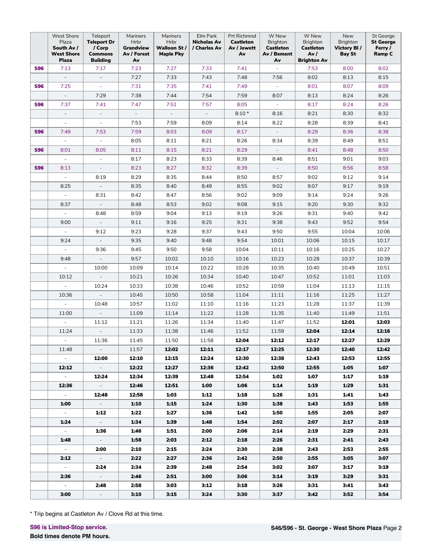|            | <b>West Shore</b><br>Plaza<br>South Av /<br><b>West Shore</b><br><b>Plaza</b> | Teleport<br><b>Teleport Dr</b><br>/ Corp<br><b>Commons</b><br><b>Building</b> | Mariners<br>Hrbr<br>Grandview<br>Av / Forest<br>A٧ | Mariners<br>Hrbr<br>Walloon St/<br><b>Maple Pky</b> | Elm Park<br>Nicholas Av<br>/ Charles Av | Prt Richmnd<br><b>Castleton</b><br>Av / Jewett<br>Av | W New<br>Brighton<br>Castleton<br>Av / Bement<br>Av | W New<br><b>Brighton</b><br><b>Castleton</b><br>Av/<br><b>Brighton Av</b> | New<br><b>Brighton</b><br>Victory BI/<br><b>Bay St</b> | St George<br><b>St George</b><br>Ferry /<br>Ramp C |
|------------|-------------------------------------------------------------------------------|-------------------------------------------------------------------------------|----------------------------------------------------|-----------------------------------------------------|-----------------------------------------|------------------------------------------------------|-----------------------------------------------------|---------------------------------------------------------------------------|--------------------------------------------------------|----------------------------------------------------|
| <b>S96</b> | 7:13                                                                          | 7:17                                                                          | 7:23                                               | 7:27                                                | 7:33                                    | 7:41                                                 |                                                     | 7:53                                                                      | 8:00                                                   | 8:02                                               |
|            | $\overline{\phantom{a}}$                                                      |                                                                               | 7:27                                               | 7:33                                                | 7:43                                    | 7:48                                                 | 7:56                                                | 8:02                                                                      | 8:13                                                   | 8:15                                               |
| <b>S96</b> | 7:25                                                                          | $\blacksquare$                                                                | 7:31                                               | 7:35                                                | 7:41                                    | 7:49                                                 | ÷                                                   | 8:01                                                                      | 8:07                                                   | 8:09                                               |
|            | $\sim$                                                                        | 7:29                                                                          | 7:38                                               | 7:44                                                | 7:54                                    | 7:59                                                 | 8:07                                                | 8:13                                                                      | 8:24                                                   | 8:26                                               |
| <b>S96</b> | 7:37                                                                          | 7:41                                                                          | 7:47                                               | 7:51                                                | 7:57                                    | 8:05                                                 | $\sim$                                              | 8:17                                                                      | 8:24                                                   | 8:26                                               |
|            | $\mathcal{L}^{\mathcal{L}}$                                                   | $\overline{\phantom{a}}$                                                      | $\sim$                                             | $\mathcal{L}_{\mathcal{A}}$                         | $\sim$                                  | $8:10*$                                              | 8:16                                                | 8:21                                                                      | 8:30                                                   | 8:32                                               |
|            | $\overline{\phantom{a}}$                                                      | $\overline{\phantom{a}}$                                                      | 7:53                                               | 7:59                                                | 8:09                                    | 8:14                                                 | 8:22                                                | 8:28                                                                      | 8:39                                                   | 8:41                                               |
| <b>S96</b> | 7:49                                                                          | 7:53                                                                          | 7:59                                               | 8:03                                                | 8:09                                    | 8:17                                                 |                                                     | 8:29                                                                      | 8:36                                                   | 8:38                                               |
|            | $\overline{\phantom{a}}$                                                      | $\overline{\phantom{a}}$                                                      | 8:05                                               | 8:11                                                | 8:21                                    | 8:26                                                 | 8:34                                                | 8:39                                                                      | 8:49                                                   | 8:51                                               |
| <b>S96</b> | 8:01                                                                          | 8:05                                                                          | 8:11                                               | 8:15                                                | 8:21                                    | 8:29                                                 | $\sim$                                              | 8:41                                                                      | 8:48                                                   | 8:50                                               |
|            | $\overline{\phantom{a}}$                                                      | $\overline{\phantom{a}}$                                                      | 8:17                                               | 8:23                                                | 8:33                                    | 8:39                                                 | 8:46                                                | 8:51                                                                      | 9:01                                                   | 9:03                                               |
| <b>S96</b> | 8:13                                                                          | $\equiv$                                                                      | 8:23                                               | 8:27                                                | 8:32                                    | 8:39                                                 | $\sim$                                              | 8:50                                                                      | 8:56                                                   | 8:58                                               |
|            | $\overline{\phantom{a}}$                                                      | 8:19                                                                          | 8:29                                               | 8:35                                                | 8:44                                    | 8:50                                                 | 8:57                                                | 9:02                                                                      | 9:12                                                   | 9:14                                               |
|            | 8:25                                                                          | $\bar{\phantom{a}}$                                                           | 8:35                                               | 8:40                                                | 8:49                                    | 8:55                                                 | 9:02                                                | 9:07                                                                      | 9:17                                                   | 9:19                                               |
|            | $\omega$                                                                      | 8:31                                                                          | 8:42                                               | 8:47                                                | 8:56                                    | 9:02                                                 | 9:09                                                | 9:14                                                                      | 9:24                                                   | 9:26                                               |
|            | 8:37                                                                          | $\overline{\phantom{a}}$                                                      | 8:48                                               | 8:53                                                | 9:02                                    | 9:08                                                 | 9:15                                                | 9:20                                                                      | 9:30                                                   | 9:32                                               |
|            | $\blacksquare$                                                                | 8:48                                                                          | 8:59                                               | 9:04                                                | 9:13                                    | 9:19                                                 | 9:26                                                | 9:31                                                                      | 9:40                                                   | 9:42                                               |
|            | 9:00                                                                          | $\overline{\phantom{a}}$                                                      | 9:11                                               | 9:16                                                | 9:25                                    | 9:31                                                 | 9:38                                                | 9:43                                                                      | 9:52                                                   | 9:54                                               |
|            | $\mathcal{L}_{\mathcal{A}}$                                                   | 9:12                                                                          | 9:23                                               | 9:28                                                | 9:37                                    | 9:43                                                 | 9:50                                                | 9:55                                                                      | 10:04                                                  | 10:06                                              |
|            | 9:24                                                                          | $\sim$                                                                        | 9:35                                               | 9:40                                                | 9:48                                    | 9:54                                                 | 10:01                                               | 10:06                                                                     | 10:15                                                  | 10:17                                              |
|            | $\omega$                                                                      | 9:36                                                                          | 9:45                                               | 9:50                                                | 9:58                                    | 10:04                                                | 10:11                                               | 10:16                                                                     | 10:25                                                  | 10:27                                              |
|            | 9:48                                                                          | $\overline{\phantom{a}}$                                                      | 9:57                                               | 10:02                                               | 10:10                                   | 10:16                                                | 10:23                                               | 10:28                                                                     | 10:37                                                  | 10:39                                              |
|            | $\overline{\phantom{a}}$                                                      | 10:00                                                                         | 10:09                                              | 10:14                                               | 10:22                                   | 10:28                                                | 10:35                                               | 10:40                                                                     | 10:49                                                  | 10:51                                              |
|            | 10:12                                                                         | $\overline{\phantom{a}}$                                                      | 10:21                                              | 10:26                                               | 10:34                                   | 10:40                                                | 10:47                                               | 10:52                                                                     | 11:01                                                  | 11:03                                              |
|            | $\overline{\phantom{a}}$                                                      | 10:24                                                                         | 10:33                                              | 10:38                                               | 10:46                                   | 10:52                                                | 10:59                                               | 11:04                                                                     | 11:13                                                  | 11:15                                              |
|            | 10:36                                                                         | $\overline{\phantom{a}}$                                                      | 10:45                                              | 10:50                                               | 10:58                                   | 11:04                                                | 11:11                                               | 11:16                                                                     | 11:25                                                  | 11:27                                              |
|            | $\overline{\phantom{a}}$                                                      | 10:48                                                                         | 10:57                                              | 11:02                                               | 11:10                                   | 11:16                                                | 11:23                                               | 11:28                                                                     | 11:37                                                  | 11:39                                              |
|            | 11:00                                                                         | $\overline{\phantom{a}}$                                                      | 11:09                                              | 11:14                                               | 11:22                                   | 11:28                                                | 11:35                                               | 11:40                                                                     | 11:49                                                  | 11:51                                              |
|            | $\omega$                                                                      | 11:12                                                                         | 11:21                                              | 11:26                                               | 11:34                                   | 11:40                                                | 11:47                                               | 11:52                                                                     | 12:01                                                  | 12:03                                              |
|            | 11:24                                                                         |                                                                               | 11:33                                              | 11:38                                               | 11:46                                   | 11:52                                                | 11:59                                               | 12:04                                                                     | 12:14                                                  | 12:16                                              |
|            | ÷,                                                                            | 11:36                                                                         | 11:45                                              | 11:50                                               | 11:58                                   | 12:04                                                | 12:12                                               | 12:17                                                                     | 12:27                                                  | 12:29                                              |
|            | 11:48                                                                         | $\sim$                                                                        | 11:57                                              | 12:02                                               | 12:11                                   | 12:17                                                | 12:25                                               | 12:30                                                                     | 12:40                                                  | 12:42                                              |
|            | $\sim$                                                                        | 12:00                                                                         | 12:10                                              | 12:15                                               | 12:24                                   | 12:30                                                | 12:38                                               | 12:43                                                                     | 12:53                                                  | 12:55                                              |
|            | 12:12                                                                         | $\sim$ $-$                                                                    | 12:22                                              | 12:27                                               | 12:36                                   | 12:42                                                | 12:50                                               | 12:55                                                                     | 1:05                                                   | 1:07                                               |
|            | $\omega_{\rm c}$                                                              | 12:24                                                                         | 12:34                                              | 12:39                                               | 12:48                                   | 12:54                                                | 1:02                                                | 1:07                                                                      | 1:17                                                   | 1:19                                               |
|            | 12:36                                                                         | $\sim$ $-$                                                                    | 12:46                                              | 12:51                                               | 1:00                                    | 1:06                                                 | 1:14                                                | 1:19                                                                      | 1:29                                                   | 1:31                                               |
|            | $\sim$                                                                        | 12:48                                                                         | 12:58                                              | 1:03                                                | 1:12                                    | 1:18                                                 | 1:26                                                | 1:31                                                                      | 1:41                                                   | 1:43                                               |
|            | 1:00                                                                          | $\sim$                                                                        | 1:10                                               | 1:15                                                | 1:24                                    | 1:30                                                 | 1:38                                                | 1:43                                                                      | 1:53                                                   | 1:55                                               |
|            | $\sim$                                                                        | 1:12                                                                          | 1:22                                               | 1:27                                                | 1:36                                    | 1:42                                                 | 1:50                                                | 1:55                                                                      | 2:05                                                   | 2:07                                               |
|            | 1:24                                                                          | $\sim$                                                                        | 1:34                                               | 1:39                                                | 1:48                                    | 1:54                                                 | 2:02                                                | 2:07                                                                      | 2:17                                                   | 2:19                                               |
|            | $\sim$                                                                        | 1:36                                                                          | 1:46                                               | 1:51                                                | 2:00                                    | 2:06                                                 | 2:14                                                | 2:19                                                                      | 2:29                                                   | 2:31                                               |
|            | 1:48                                                                          | $\sim$                                                                        | 1:58                                               | 2:03                                                | 2:12                                    | 2:18                                                 | 2:26                                                | 2:31                                                                      | 2:41                                                   | 2:43                                               |
|            | $\sim$                                                                        | 2:00                                                                          | 2:10                                               | 2:15                                                | 2:24                                    | 2:30                                                 | 2:38                                                | 2:43                                                                      | 2:53                                                   | 2:55                                               |
|            | 2:12                                                                          | $\sim$                                                                        | 2:22                                               | 2:27                                                | 2:36                                    | 2:42                                                 | 2:50                                                | 2:55                                                                      | 3:05                                                   | 3:07                                               |
|            | $\sim$                                                                        | 2:24                                                                          | 2:34                                               | 2:39                                                | 2:48                                    | 2:54                                                 | 3:02                                                | 3:07                                                                      | 3:17                                                   | 3:19                                               |
|            | 2:36                                                                          | $\sim$                                                                        | 2:46                                               | 2:51                                                | 3:00                                    | 3:06                                                 | 3:14                                                | 3:19                                                                      | 3:29                                                   | 3:31                                               |
|            | $\sim$                                                                        | 2:48                                                                          | 2:58                                               | 3:03                                                | 3:12                                    | 3:18                                                 | 3:26                                                | 3:31                                                                      | 3:41                                                   | 3:43                                               |
|            | 3:00                                                                          | $\sim$                                                                        | 3:10                                               | 3:15                                                | 3:24                                    | 3:30                                                 | 3:37                                                | 3:42                                                                      | 3:52                                                   | 3:54                                               |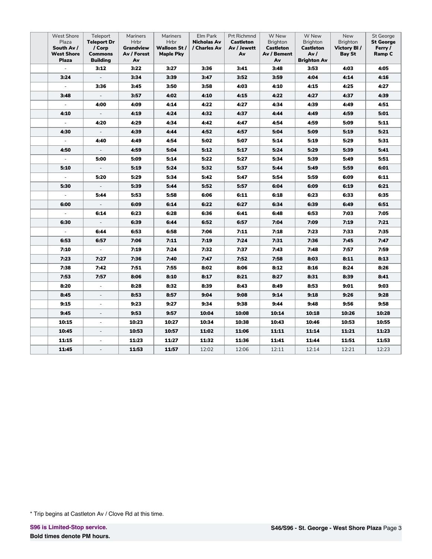| <b>West Shore</b><br>Plaza<br>South Av /<br><b>West Shore</b><br><b>Plaza</b> | Teleport<br><b>Teleport Dr</b><br>/ Corp<br><b>Commons</b><br><b>Building</b> | Mariners<br><b>Hrbr</b><br>Grandview<br>Av / Forest<br>A۷ | Mariners<br><b>Hrbr</b><br>Walloon St/<br><b>Maple Pky</b> | Elm Park<br><b>Nicholas Av</b><br>/ Charles Av | Prt Richmnd<br><b>Castleton</b><br>Av / Jewett<br>Av | W New<br>Brighton<br><b>Castleton</b><br>Av / Bement<br>Av | W New<br>Brighton<br><b>Castleton</b><br>Av /<br><b>Brighton Av</b> | New<br>Brighton<br>Victory BI/<br><b>Bay St</b> | St George<br><b>St George</b><br>Ferry /<br>Ramp C |
|-------------------------------------------------------------------------------|-------------------------------------------------------------------------------|-----------------------------------------------------------|------------------------------------------------------------|------------------------------------------------|------------------------------------------------------|------------------------------------------------------------|---------------------------------------------------------------------|-------------------------------------------------|----------------------------------------------------|
| $\frac{1}{2}$                                                                 | 3:12                                                                          | 3:22                                                      | 3:27                                                       | 3:36                                           | 3:41                                                 | 3:48                                                       | 3:53                                                                | 4:03                                            | 4:05                                               |
| 3:24                                                                          | $\overline{\phantom{a}}$                                                      | 3:34                                                      | 3:39                                                       | 3:47                                           | 3:52                                                 | 3:59                                                       | 4:04                                                                | 4:14                                            | 4:16                                               |
| $\blacksquare$                                                                | 3:36                                                                          | 3:45                                                      | 3:50                                                       | 3:58                                           | 4:03                                                 | 4:10                                                       | 4:15                                                                | 4:25                                            | 4:27                                               |
| 3:48                                                                          | $\overline{\phantom{a}}$                                                      | 3:57                                                      | 4:02                                                       | 4:10                                           | 4:15                                                 | 4:22                                                       | 4:27                                                                | 4:37                                            | 4:39                                               |
| $\blacksquare$                                                                | 4:00                                                                          | 4:09                                                      | 4:14                                                       | 4:22                                           | 4:27                                                 | 4:34                                                       | 4:39                                                                | 4:49                                            | 4:51                                               |
| 4:10                                                                          |                                                                               | 4:19                                                      | 4:24                                                       | 4:32                                           | 4:37                                                 | 4:44                                                       | 4:49                                                                | 4:59                                            | 5:01                                               |
| $\overline{\phantom{a}}$                                                      | 4:20                                                                          | 4:29                                                      | 4:34                                                       | 4:42                                           | 4:47                                                 | 4:54                                                       | 4:59                                                                | 5:09                                            | 5:11                                               |
| 4:30                                                                          | $\overline{\phantom{a}}$                                                      | 4:39                                                      | 4:44                                                       | 4:52                                           | 4:57                                                 | 5:04                                                       | 5:09                                                                | 5:19                                            | 5:21                                               |
| ÷.                                                                            | 4:40                                                                          | 4:49                                                      | 4:54                                                       | 5:02                                           | 5:07                                                 | 5:14                                                       | 5:19                                                                | 5:29                                            | 5:31                                               |
| 4:50                                                                          | $\overline{\phantom{a}}$                                                      | 4:59                                                      | 5:04                                                       | 5:12                                           | 5:17                                                 | 5:24                                                       | 5:29                                                                | 5:39                                            | 5:41                                               |
| $\blacksquare$                                                                | 5:00                                                                          | 5:09                                                      | 5:14                                                       | 5:22                                           | 5:27                                                 | 5:34                                                       | 5:39                                                                | 5:49                                            | 5:51                                               |
| 5:10                                                                          | $\overline{\phantom{a}}$                                                      | 5:19                                                      | 5:24                                                       | 5:32                                           | 5:37                                                 | 5:44                                                       | 5:49                                                                | 5:59                                            | 6:01                                               |
| $\Box$                                                                        | 5:20                                                                          | 5:29                                                      | 5:34                                                       | 5:42                                           | 5:47                                                 | 5:54                                                       | 5:59                                                                | 6:09                                            | 6:11                                               |
| 5:30                                                                          | $\overline{\phantom{a}}$                                                      | 5:39                                                      | 5:44                                                       | 5:52                                           | 5:57                                                 | 6:04                                                       | 6:09                                                                | 6:19                                            | 6:21                                               |
| $\overline{\phantom{a}}$                                                      | 5:44                                                                          | 5:53                                                      | 5:58                                                       | 6:06                                           | 6:11                                                 | 6:18                                                       | 6:23                                                                | 6:33                                            | 6:35                                               |
| 6:00                                                                          | $\overline{\phantom{a}}$                                                      | 6:09                                                      | 6:14                                                       | 6:22                                           | 6:27                                                 | 6:34                                                       | 6:39                                                                | 6:49                                            | 6:51                                               |
| $\overline{\phantom{a}}$                                                      | 6:14                                                                          | 6:23                                                      | 6:28                                                       | 6:36                                           | 6:41                                                 | 6:48                                                       | 6:53                                                                | 7:03                                            | 7:05                                               |
| 6:30                                                                          |                                                                               | 6:39                                                      | 6:44                                                       | 6:52                                           | 6:57                                                 | 7:04                                                       | 7:09                                                                | 7:19                                            | 7:21                                               |
| ÷,                                                                            | 6:44                                                                          | 6:53                                                      | 6:58                                                       | 7:06                                           | 7:11                                                 | 7:18                                                       | 7:23                                                                | 7:33                                            | 7:35                                               |
| 6:53                                                                          | 6:57                                                                          | 7:06                                                      | 7:11                                                       | 7:19                                           | 7:24                                                 | 7:31                                                       | 7:36                                                                | 7:45                                            | 7:47                                               |
| 7:10                                                                          | $\overline{\phantom{a}}$                                                      | 7:19                                                      | 7:24                                                       | 7:32                                           | 7:37                                                 | 7:43                                                       | 7:48                                                                | 7:57                                            | 7:59                                               |
| 7:23                                                                          | 7:27                                                                          | 7:36                                                      | 7:40                                                       | 7:47                                           | 7:52                                                 | 7:58                                                       | 8:03                                                                | 8:11                                            | 8:13                                               |
| 7:38                                                                          | 7:42                                                                          | 7:51                                                      | 7:55                                                       | 8:02                                           | 8:06                                                 | 8:12                                                       | 8:16                                                                | 8:24                                            | 8:26                                               |
| 7:53                                                                          | 7:57                                                                          | 8:06                                                      | 8:10                                                       | 8:17                                           | 8:21                                                 | 8:27                                                       | 8:31                                                                | 8:39                                            | 8:41                                               |
| 8:20                                                                          | $\overline{\phantom{a}}$                                                      | 8:28                                                      | 8:32                                                       | 8:39                                           | 8:43                                                 | 8:49                                                       | 8:53                                                                | 9:01                                            | 9:03                                               |
| 8:45                                                                          | $\overline{\phantom{a}}$                                                      | 8:53                                                      | 8:57                                                       | 9:04                                           | 9:08                                                 | 9:14                                                       | 9:18                                                                | 9:26                                            | 9:28                                               |
| 9:15                                                                          | ÷.                                                                            | 9:23                                                      | 9:27                                                       | 9:34                                           | 9:38                                                 | 9:44                                                       | 9:48                                                                | 9:56                                            | 9:58                                               |
| 9:45                                                                          | $\overline{\phantom{a}}$                                                      | 9:53                                                      | 9:57                                                       | 10:04                                          | 10:08                                                | 10:14                                                      | 10:18                                                               | 10:26                                           | 10:28                                              |
| 10:15                                                                         | $\overline{\phantom{a}}$                                                      | 10:23                                                     | 10:27                                                      | 10:34                                          | 10:38                                                | 10:43                                                      | 10:46                                                               | 10:53                                           | 10:55                                              |
| 10:45                                                                         | $\overline{\phantom{a}}$                                                      | 10:53                                                     | 10:57                                                      | 11:02                                          | 11:06                                                | 11:11                                                      | 11:14                                                               | 11:21                                           | 11:23                                              |
| 11:15                                                                         | $\overline{\phantom{a}}$                                                      | 11:23                                                     | 11:27                                                      | 11:32                                          | 11:36                                                | 11:41                                                      | 11:44                                                               | 11:51                                           | 11:53                                              |
| 11:45                                                                         | $\blacksquare$                                                                | 11:53                                                     | 11:57                                                      | 12:02                                          | 12:06                                                | 12:11                                                      | 12:14                                                               | 12:21                                           | 12:23                                              |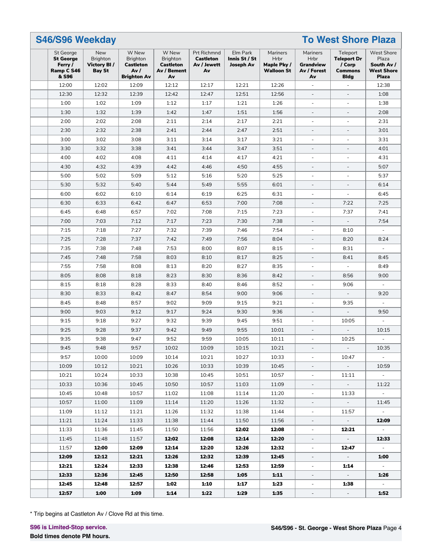| <b>S46/S96 Weekday</b>                                          |                                                               | <b>To West Shore Plaza</b>                                         |                                                                   |                                                      |                                               |                                                      |                                                           |                                                                           |                                                                               |
|-----------------------------------------------------------------|---------------------------------------------------------------|--------------------------------------------------------------------|-------------------------------------------------------------------|------------------------------------------------------|-----------------------------------------------|------------------------------------------------------|-----------------------------------------------------------|---------------------------------------------------------------------------|-------------------------------------------------------------------------------|
| St George<br><b>St George</b><br>Ferry /<br>Ramp C S46<br>& S96 | New<br><b>Brighton</b><br><b>Victory BI/</b><br><b>Bay St</b> | W New<br>Brighton<br><b>Castleton</b><br>Av/<br><b>Brighton Av</b> | W New<br><b>Brighton</b><br><b>Castleton</b><br>Av / Bement<br>Av | Prt Richmnd<br><b>Castleton</b><br>Av / Jewett<br>Av | Elm Park<br>Innis St / St<br><b>Joseph Av</b> | Mariners<br>Hrbr<br>Maple Pky /<br><b>Walloon St</b> | Mariners<br>Hrbr<br><b>Grandview</b><br>Av / Forest<br>Av | Teleport<br><b>Teleport Dr</b><br>/ Corp<br><b>Commons</b><br><b>Bldg</b> | <b>West Shore</b><br>Plaza<br>South Av /<br><b>West Shore</b><br><b>Plaza</b> |
| 12:00                                                           | 12:02                                                         | 12:09                                                              | 12:12                                                             | 12:17                                                | 12:21                                         | 12:26                                                | $\overline{\phantom{a}}$                                  | $\overline{\phantom{a}}$                                                  | 12:38                                                                         |
| 12:30                                                           | 12:32                                                         | 12:39                                                              | 12:42                                                             | 12:47                                                | 12:51                                         | 12:56                                                | $\frac{1}{2}$                                             | $\overline{\phantom{a}}$                                                  | 1:08                                                                          |
| 1:00                                                            | 1:02                                                          | 1:09                                                               | 1:12                                                              | 1:17                                                 | 1:21                                          | 1:26                                                 | ÷,                                                        | $\overline{\phantom{a}}$                                                  | 1:38                                                                          |
| 1:30                                                            | 1:32                                                          | 1:39                                                               | 1:42                                                              | 1:47                                                 | 1:51                                          | 1:56                                                 | $\overline{\phantom{a}}$                                  | $\overline{\phantom{a}}$                                                  | 2:08                                                                          |
| 2:00                                                            | 2:02                                                          | 2:08                                                               | 2:11                                                              | 2:14                                                 | 2:17                                          | 2:21                                                 | $\overline{\phantom{a}}$                                  | $\overline{\phantom{a}}$                                                  | 2:31                                                                          |
| 2:30                                                            | 2:32                                                          | 2:38                                                               | 2:41                                                              | 2:44                                                 | 2:47                                          | 2:51                                                 | $\overline{\phantom{a}}$                                  | $\overline{\phantom{a}}$                                                  | 3:01                                                                          |
| 3:00                                                            | 3:02                                                          | 3:08                                                               | 3:11                                                              | 3:14                                                 | 3:17                                          | 3:21                                                 |                                                           | ٠                                                                         | 3:31                                                                          |
| 3:30                                                            | 3:32                                                          | 3:38                                                               | 3:41                                                              | 3:44                                                 | 3:47                                          | 3:51                                                 | $\overline{a}$                                            | $\overline{a}$                                                            | 4:01                                                                          |
| 4:00                                                            | 4:02                                                          | 4:08                                                               | 4:11                                                              | 4:14                                                 | 4:17                                          | 4:21                                                 | ÷,                                                        | $\overline{\phantom{a}}$                                                  | 4:31                                                                          |
| 4:30                                                            | 4:32                                                          | 4:39                                                               | 4:42                                                              | 4:46                                                 | 4:50                                          | 4:55                                                 | $\overline{\phantom{a}}$                                  | $\overline{\phantom{a}}$                                                  | 5:07                                                                          |
| 5:00                                                            | 5:02                                                          | 5:09                                                               | 5:12                                                              | 5:16                                                 | 5:20                                          | 5:25                                                 | ä,                                                        | $\overline{\phantom{a}}$                                                  | 5:37                                                                          |
| 5:30                                                            | 5:32                                                          | 5:40                                                               | 5:44                                                              | 5:49                                                 | 5:55                                          | 6:01                                                 | $\overline{\phantom{a}}$                                  | $\overline{\phantom{a}}$                                                  | 6:14                                                                          |
| 6:00                                                            | 6:02                                                          | 6:10                                                               | 6:14                                                              | 6:19                                                 | 6:25                                          | 6:31                                                 | $\overline{\phantom{a}}$                                  | $\omega$                                                                  | 6:45                                                                          |
| 6:30                                                            | 6:33                                                          | 6:42                                                               | 6:47                                                              | 6:53                                                 | 7:00                                          | 7:08                                                 | L.                                                        | 7:22                                                                      | 7:25                                                                          |
| 6:45                                                            | 6:48                                                          | 6:57                                                               | 7:02                                                              | 7:08                                                 | 7:15                                          | 7:23                                                 | ÷                                                         | 7:37                                                                      | 7:41                                                                          |
| 7:00                                                            | 7:03                                                          | 7:12                                                               | 7:17                                                              | 7:23                                                 | 7:30                                          | 7:38                                                 | $\frac{1}{2}$                                             | ÷,                                                                        | 7:54                                                                          |
| 7:15                                                            | 7:18                                                          | 7:27                                                               | 7:32                                                              | 7:39                                                 | 7:46                                          | 7:54                                                 | ÷,                                                        | 8:10                                                                      | ÷,                                                                            |
| 7:25                                                            | 7:28                                                          | 7:37                                                               | 7:42                                                              | 7:49                                                 | 7:56                                          | 8:04                                                 | $\overline{\phantom{a}}$                                  | 8:20                                                                      | 8:24                                                                          |
| 7:35                                                            | 7:38                                                          | 7:48                                                               | 7:53                                                              | 8:00                                                 | 8:07                                          | 8:15                                                 | $\overline{\phantom{a}}$                                  | 8:31                                                                      | ä,                                                                            |
| 7:45                                                            | 7:48                                                          | 7:58                                                               | 8:03                                                              | 8:10                                                 | 8:17                                          | 8:25                                                 | L.                                                        | 8:41                                                                      | 8:45                                                                          |
| 7:55                                                            | 7:58                                                          | 8:08                                                               | 8:13                                                              | 8:20                                                 | 8:27                                          | 8:35                                                 | ä,                                                        |                                                                           | 8:49                                                                          |
| 8:05                                                            | 8:08                                                          | 8:18                                                               | 8:23                                                              | 8:30                                                 | 8:36                                          | 8:42                                                 | $\overline{a}$                                            | 8:56                                                                      | 9:00                                                                          |
| 8:15                                                            | 8:18                                                          | 8:28                                                               | 8:33                                                              | 8:40                                                 | 8:46                                          | 8:52                                                 | ÷,                                                        | 9:06                                                                      |                                                                               |
| 8:30                                                            | 8:33                                                          | 8:42                                                               | 8:47                                                              | 8:54                                                 | 9:00                                          | 9:06                                                 | $\blacksquare$                                            | $\overline{\phantom{a}}$                                                  | 9:20                                                                          |
| 8:45                                                            | 8:48                                                          | 8:57                                                               | 9:02                                                              | 9:09                                                 | 9:15                                          | 9:21                                                 | $\overline{\phantom{a}}$                                  | 9:35                                                                      | $\overline{\phantom{a}}$                                                      |
| 9:00                                                            | 9:03                                                          | 9:12                                                               | 9:17                                                              | 9:24                                                 | 9:30                                          | 9:36                                                 | $\overline{\phantom{a}}$                                  | $\overline{\phantom{a}}$                                                  | 9:50                                                                          |
| 9:15                                                            | 9:18                                                          | 9:27                                                               | 9:32                                                              | 9:39                                                 | 9:45                                          | 9:51                                                 | ä,                                                        | 10:05                                                                     |                                                                               |
| 9:25                                                            | 9:28                                                          | 9:37                                                               | 9:42                                                              | 9:49                                                 | 9:55                                          | 10:01                                                |                                                           | $\overline{a}$                                                            | 10:15                                                                         |
| 9:35                                                            | 9:38                                                          | 9:47                                                               | 9:52                                                              | 9:59                                                 | 10:05                                         | 10:11                                                |                                                           | 10:25                                                                     |                                                                               |
| 9:45                                                            | 9:48                                                          | 9:57                                                               | 10:02                                                             | 10:09                                                | 10:15                                         | 10:21                                                |                                                           |                                                                           | 10:35                                                                         |
| 9:57                                                            | 10:00                                                         | 10:09                                                              | 10:14                                                             | 10:21                                                | 10:27                                         | 10:33                                                | $\overline{\phantom{a}}$                                  | 10:47                                                                     | $\sim$                                                                        |
| 10:09                                                           | 10:12                                                         | 10:21                                                              | 10:26                                                             | 10:33                                                | 10:39                                         | 10:45                                                | $\overline{\phantom{a}}$                                  | $\sim$                                                                    | 10:59                                                                         |
| 10:21                                                           | 10:24                                                         | 10:33                                                              | 10:38                                                             | 10:45                                                | 10:51                                         | 10:57                                                | $\overline{\phantom{a}}$                                  | 11:11                                                                     | $\sim$                                                                        |
| 10:33                                                           | 10:36                                                         | 10:45                                                              | 10:50                                                             | 10:57                                                | 11:03                                         | 11:09                                                | $\overline{\phantom{a}}$                                  | $\sim$                                                                    | 11:22                                                                         |
| 10:45                                                           | 10:48                                                         | 10:57                                                              | 11:02                                                             | 11:08                                                | 11:14                                         | 11:20                                                |                                                           | 11:33                                                                     | $\sim$                                                                        |
| 10:57                                                           | 11:00                                                         | 11:09                                                              | 11:14                                                             | 11:20                                                | 11:26                                         | 11:32                                                |                                                           | $\sim$                                                                    | 11:45                                                                         |
|                                                                 |                                                               |                                                                    |                                                                   |                                                      |                                               |                                                      | $\overline{\phantom{a}}$                                  |                                                                           |                                                                               |
| 11:09                                                           | 11:12                                                         | 11:21                                                              | 11:26                                                             | 11:32                                                | 11:38                                         | 11:44                                                | ۰                                                         | 11:57                                                                     | $\sim$                                                                        |
| 11:21                                                           | 11:24                                                         | 11:33                                                              | 11:38                                                             | 11:44                                                | 11:50                                         | 11:56                                                | ۰.                                                        | $\sim$                                                                    | 12:09                                                                         |
| 11:33                                                           | 11:36                                                         | 11:45                                                              | 11:50                                                             | 11:56                                                | 12:02                                         | 12:08                                                | $\overline{\phantom{a}}$                                  | 12:21                                                                     | $\sim$                                                                        |
| 11:45                                                           | 11:48                                                         | 11:57                                                              | 12:02                                                             | 12:08                                                | 12:14                                         | 12:20                                                | $\overline{\phantom{a}}$                                  | $\sim$                                                                    | 12:33                                                                         |
| 11:57                                                           | 12:00                                                         | 12:09                                                              | 12:14                                                             | 12:20                                                | 12:26                                         | 12:32                                                | $\overline{\phantom{a}}$                                  | 12:47                                                                     | $\sim$                                                                        |
| 12:09                                                           | 12:12                                                         | 12:21                                                              | 12:26                                                             | 12:32                                                | 12:39                                         | 12:45                                                |                                                           | $\sim$                                                                    | 1:00                                                                          |
| 12:21                                                           | 12:24                                                         | 12:33                                                              | 12:38                                                             | 12:46                                                | 12:53                                         | 12:59                                                | $\overline{\phantom{a}}$                                  | 1:14                                                                      | $\sim$                                                                        |
| 12:33                                                           | 12:36                                                         | 12:45                                                              | 12:50                                                             | 12:58                                                | 1:05                                          | 1:11                                                 | $\overline{\phantom{a}}$                                  | $\sim$                                                                    | 1:26                                                                          |
| 12:45                                                           | 12:48                                                         | 12:57                                                              | 1:02                                                              | 1:10                                                 | 1:17                                          | 1:23                                                 | ۰.                                                        | 1:38                                                                      | $\sim$                                                                        |
| 12:57                                                           | 1:00                                                          | 1:09                                                               | 1:14                                                              | 1:22                                                 | 1:29                                          | 1:35                                                 | $\sim$                                                    | $\sim$                                                                    | 1:52                                                                          |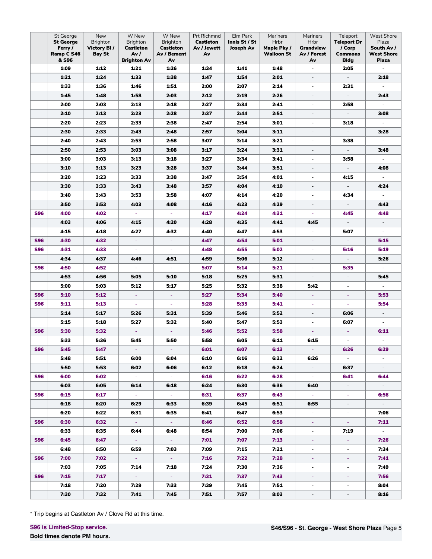|            | St George<br><b>St George</b><br>Ferry /<br>Ramp C S46<br>& S96 | New<br><b>Brighton</b><br>Victory BI/<br><b>Bay St</b> | W New<br><b>Brighton</b><br><b>Castleton</b><br>Av/<br><b>Brighton Av</b> | W New<br><b>Brighton</b><br><b>Castleton</b><br>Av / Bement<br>Av | Prt Richmnd<br><b>Castleton</b><br>Av / Jewett<br>Av | Elm Park<br>Innis St / St<br><b>Joseph Av</b> | Mariners<br>Hrbr<br>Maple Pky /<br><b>Walloon St</b> | Mariners<br>Hrbr<br>Grandview<br>Av / Forest<br>Av | Teleport<br><b>Teleport Dr</b><br>/ Corp<br><b>Commons</b><br><b>Bldg</b> | <b>West Shore</b><br>Plaza<br>South Av /<br>West Shore<br><b>Plaza</b> |
|------------|-----------------------------------------------------------------|--------------------------------------------------------|---------------------------------------------------------------------------|-------------------------------------------------------------------|------------------------------------------------------|-----------------------------------------------|------------------------------------------------------|----------------------------------------------------|---------------------------------------------------------------------------|------------------------------------------------------------------------|
|            | 1:09                                                            | 1:12                                                   | 1:21                                                                      | 1:26                                                              | 1:34                                                 | 1:41                                          | 1:48                                                 | $\overline{\phantom{a}}$                           | 2:05                                                                      | ÷.                                                                     |
|            | 1:21                                                            | 1:24                                                   | 1:33                                                                      | 1:38                                                              | 1:47                                                 | 1:54                                          | 2:01                                                 | $\overline{\phantom{a}}$                           | $\overline{\phantom{a}}$                                                  | 2:18                                                                   |
|            | 1:33                                                            | 1:36                                                   | 1:46                                                                      | 1:51                                                              | 2:00                                                 | 2:07                                          | 2:14                                                 | L.                                                 | 2:31                                                                      | $\overline{\phantom{a}}$                                               |
|            | 1:45                                                            | 1:48                                                   | 1:58                                                                      | 2:03                                                              | 2:12                                                 | 2:19                                          | 2:26                                                 | $\overline{a}$                                     | $\overline{\phantom{a}}$                                                  | 2:43                                                                   |
|            | 2:00                                                            | 2:03                                                   | 2:13                                                                      | 2:18                                                              | 2:27                                                 | 2:34                                          | 2:41                                                 | $\overline{\phantom{a}}$                           | 2:58                                                                      | $\overline{\phantom{a}}$                                               |
|            | 2:10                                                            | 2:13                                                   | 2:23                                                                      | 2:28                                                              | 2:37                                                 | 2:44                                          | 2:51                                                 | $\overline{\phantom{a}}$                           | $\overline{\phantom{a}}$                                                  | 3:08                                                                   |
|            | 2:20                                                            | 2:23                                                   | 2:33                                                                      | 2:38                                                              | 2:47                                                 | 2:54                                          | 3:01                                                 | $\blacksquare$                                     | 3:18                                                                      | $\mathcal{L}_{\mathcal{A}}$                                            |
|            | 2:30                                                            | 2:33                                                   | 2:43                                                                      | 2:48                                                              | 2:57                                                 | 3:04                                          | 3:11                                                 | $\overline{\phantom{a}}$                           | $\overline{\phantom{a}}$                                                  | 3:28                                                                   |
|            | 2:40                                                            | 2:43                                                   | 2:53                                                                      | 2:58                                                              | 3:07                                                 | 3:14                                          | 3:21                                                 | $\overline{\phantom{a}}$                           | 3:38                                                                      | $\overline{\phantom{a}}$                                               |
|            | 2:50                                                            | 2:53                                                   | 3:03                                                                      | 3:08                                                              | 3:17                                                 | 3:24                                          | 3:31                                                 | $\overline{\phantom{a}}$                           | $\overline{\phantom{a}}$                                                  | 3:48                                                                   |
|            | 3:00                                                            | 3:03                                                   | 3:13                                                                      | 3:18                                                              | 3:27                                                 | 3:34                                          | 3:41                                                 | $\overline{\phantom{a}}$                           | 3:58                                                                      | $\overline{\phantom{a}}$                                               |
|            | 3:10                                                            | 3:13                                                   | 3:23                                                                      | 3:28                                                              | 3:37                                                 | 3:44                                          | 3:51                                                 | $\overline{\phantom{a}}$                           | $\overline{\phantom{a}}$                                                  | 4:08                                                                   |
|            | 3:20                                                            | 3:23                                                   | 3:33                                                                      | 3:38                                                              | 3:47                                                 | 3:54                                          | 4:01                                                 | $\overline{\phantom{a}}$                           | 4:15                                                                      | $\overline{\phantom{a}}$                                               |
|            | 3:30                                                            | 3:33                                                   | 3:43                                                                      | 3:48                                                              | 3:57                                                 | 4:04                                          | 4:10                                                 | $\overline{\phantom{a}}$                           | $\overline{\phantom{a}}$                                                  | 4:24                                                                   |
|            | 3:40                                                            | 3:43                                                   | 3:53                                                                      | 3:58                                                              | 4:07                                                 | 4:14                                          | 4:20                                                 | $\blacksquare$                                     | 4:34                                                                      | $\overline{\phantom{a}}$                                               |
|            | 3:50                                                            | 3:53                                                   | 4:03                                                                      | 4:08                                                              | 4:16                                                 | 4:23                                          | 4:29                                                 | $\overline{\phantom{a}}$                           | $\overline{\phantom{a}}$                                                  | 4:43                                                                   |
| <b>S96</b> | 4:00                                                            | 4:02                                                   | $\omega$                                                                  | $\omega$                                                          | 4:17                                                 | 4:24                                          | 4:31                                                 | ä,                                                 | 4:45                                                                      | 4:48                                                                   |
|            | 4:03                                                            | 4:06                                                   | 4:15                                                                      | 4:20                                                              | 4:28                                                 | 4:35                                          | 4:41                                                 | 4:45                                               | $\overline{\phantom{a}}$                                                  | $\overline{\phantom{a}}$                                               |
|            | 4:15                                                            | 4:18                                                   | 4:27                                                                      | 4:32                                                              | 4:40                                                 | 4:47                                          | 4:53                                                 | $\overline{\phantom{a}}$                           | 5:07                                                                      | $\overline{\phantom{a}}$                                               |
| <b>S96</b> | 4:30                                                            | 4:32                                                   | ÷                                                                         | ÷                                                                 | 4:47                                                 | 4:54                                          | 5:01                                                 | $\equiv$                                           | $\pm$                                                                     | 5:15                                                                   |
| <b>S96</b> | 4:31                                                            | 4:33                                                   | $\omega$                                                                  | $\omega$                                                          | 4:48                                                 | 4:55                                          | 5:02                                                 | $\equiv$                                           | 5:16                                                                      | 5:19                                                                   |
|            | 4:34                                                            | 4:37                                                   | 4:46                                                                      | 4:51                                                              | 4:59                                                 | 5:06                                          | 5:12                                                 | $\overline{\phantom{a}}$                           | $\overline{\phantom{a}}$                                                  | 5:26                                                                   |
| <b>S96</b> | 4:50                                                            | 4:52                                                   | $\omega$                                                                  | $\omega$                                                          | 5:07                                                 | 5:14                                          | 5:21                                                 | $\omega$                                           | 5:35                                                                      | ÷.                                                                     |
|            | 4:53                                                            | 4:56                                                   | 5:05                                                                      | 5:10                                                              | 5:18                                                 | 5:25                                          | 5:31                                                 | $\overline{\phantom{a}}$                           | $\overline{\phantom{a}}$                                                  | 5:45                                                                   |
|            | 5:00                                                            | 5:03                                                   | 5:12                                                                      | 5:17                                                              | 5:25                                                 | 5:32                                          | 5:38                                                 | 5:42                                               | $\overline{\phantom{a}}$                                                  | $\overline{\phantom{a}}$                                               |
| <b>S96</b> | 5:10                                                            | 5:12                                                   | ÷                                                                         | $\blacksquare$                                                    | 5:27                                                 | 5:34                                          | 5:40                                                 | Ξ                                                  | ÷                                                                         | 5:53                                                                   |
| <b>S96</b> | 5:11                                                            | 5:13                                                   | ä,                                                                        | $\omega$                                                          | 5:28                                                 | 5:35                                          | 5:41                                                 | $\omega$                                           | $\omega$                                                                  | 5:54                                                                   |
|            | 5:14                                                            | 5:17                                                   | 5:26                                                                      | 5:31                                                              | 5:39                                                 | 5:46                                          | 5:52                                                 | $\overline{\phantom{a}}$                           | 6:06                                                                      | $\overline{\phantom{a}}$                                               |
|            | 5:15                                                            | 5:18                                                   | 5:27                                                                      | 5:32                                                              | 5:40                                                 | 5:47                                          | 5:53                                                 | $\overline{\phantom{a}}$                           | 6:07                                                                      | $\overline{\phantom{a}}$                                               |
| <b>S96</b> | 5:30                                                            | 5:32                                                   | $\Box$                                                                    | $\omega$                                                          | 5:46                                                 | 5:52                                          | 5:58                                                 | $\omega$                                           | ÷                                                                         | 6:11                                                                   |
|            | 5:33                                                            | 5:36                                                   | 5:45                                                                      | 5:50                                                              | 5:58                                                 | 6:05                                          | 6:11                                                 | 6:15                                               | ä,                                                                        |                                                                        |
| <b>S96</b> | 5:45                                                            | 5:47                                                   |                                                                           |                                                                   | 6:01                                                 | 6:07                                          | 6:13                                                 |                                                    | 6:26                                                                      | 6:29                                                                   |
|            | 5:48                                                            | 5:51                                                   | 6:00                                                                      | 6:04                                                              | 6:10                                                 | 6:16                                          | 6:22                                                 | 6:26                                               | $\sim$                                                                    | $\sim$                                                                 |
|            | 5:50                                                            | 5:53                                                   | 6:02                                                                      | 6:06                                                              | 6:12                                                 | 6:18                                          | 6:24                                                 | $\sim$                                             | 6:37                                                                      | $\sim$                                                                 |
| <b>S96</b> | 6:00                                                            | 6:02                                                   | $\sim$ $-$                                                                | $\sim$ $\sim$                                                     | 6:16                                                 | 6:22                                          | 6:28                                                 | $\sim$ $\sim$                                      | 6:41                                                                      | 6:44                                                                   |
|            | 6:03                                                            | 6:05                                                   | 6:14                                                                      | 6:18                                                              | 6:24                                                 | 6:30                                          | 6:36                                                 | 6:40                                               | e)                                                                        | $\sim$                                                                 |
| <b>S96</b> | 6:15                                                            | 6:17                                                   | $\sim 10$                                                                 | $\sim 10$                                                         | 6:31                                                 | 6:37                                          | 6:43                                                 | $\sim 10^{-1}$                                     | a.                                                                        | 6:56                                                                   |
|            | 6:18                                                            | 6:20                                                   | 6:29                                                                      | 6:33                                                              | 6:39                                                 | 6:45                                          | 6:51                                                 | 6:55                                               |                                                                           | $\sim$                                                                 |
|            | 6:20                                                            | 6:22                                                   | 6:31                                                                      | 6:35                                                              | 6:41                                                 | 6:47                                          | 6:53                                                 | $\sim$                                             | $\overline{\phantom{a}}$                                                  | 7:06                                                                   |
| <b>S96</b> | 6:30                                                            | 6:32                                                   | $\sigma_{\rm eff}$                                                        | $\sim$ $\sim$                                                     | 6:46                                                 | 6:52                                          | 6:58                                                 | $\sigma_{\rm c}$                                   | $\sigma_{\rm c}$                                                          | 7:11                                                                   |
|            | 6:33                                                            | 6:35                                                   | 6:44                                                                      | 6:48                                                              | 6:54                                                 | 7:00                                          | 7:06                                                 | $\sim$                                             | 7:19                                                                      | $\sim$                                                                 |
| <b>S96</b> | 6:45                                                            | 6:47                                                   | $\sim$ $\sim$                                                             | $\sim 10$                                                         | 7:01                                                 | 7:07                                          | 7:13                                                 | $\sim$                                             | $\omega_{\rm{eff}}$                                                       | 7:26                                                                   |
|            | 6:48                                                            | 6:50                                                   | 6:59                                                                      | 7:03                                                              | 7:09                                                 | 7:15                                          | 7:21                                                 | $\mathcal{L}_{\mathcal{A}}$                        | $\overline{\phantom{a}}$                                                  | 7:34                                                                   |
| <b>S96</b> | 7:00                                                            | 7:02                                                   | $\sim 10$                                                                 | $\sim$ $\sim$                                                     | 7:16                                                 | 7:22                                          | 7:28                                                 | $\sim$                                             | ÷                                                                         | 7:41                                                                   |
|            | 7:03                                                            | 7:05                                                   | 7:14                                                                      | 7:18                                                              | 7:24                                                 | 7:30                                          | 7:36                                                 |                                                    |                                                                           | 7:49                                                                   |
| <b>S96</b> | 7:15                                                            | 7:17                                                   | $\sim 10$                                                                 | $\sim 10$                                                         | 7:31                                                 | 7:37                                          | 7:43                                                 | ÷.                                                 | ÷.                                                                        | 7:56                                                                   |
|            | 7:18                                                            | 7:20                                                   | 7:29                                                                      | 7:33                                                              | 7:39                                                 | 7:45                                          | 7:51                                                 | $\overline{\phantom{a}}$                           | $\overline{\phantom{a}}$                                                  | 8:04                                                                   |
|            | 7:30                                                            | 7:32                                                   | 7:41                                                                      | 7:45                                                              | 7:51                                                 | 7:57                                          | 8:03                                                 | $\overline{\phantom{a}}$                           | $\overline{\phantom{a}}$                                                  | 8:16                                                                   |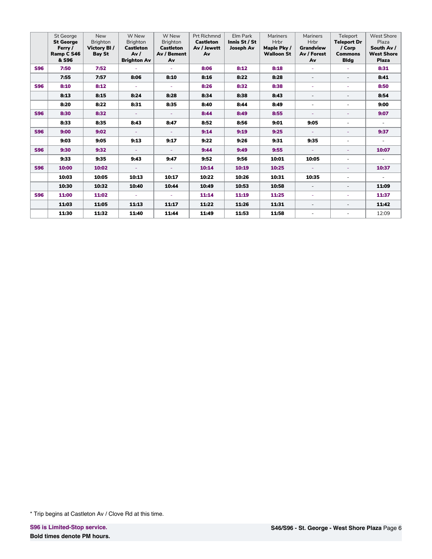|            | <b>St George</b> | <b>New</b>      | W New              | W New            | <b>Prt Richmnd</b> | Elm Park      | Mariners          | Mariners                 | Teleport                 | <b>West Shore</b> |
|------------|------------------|-----------------|--------------------|------------------|--------------------|---------------|-------------------|--------------------------|--------------------------|-------------------|
|            | <b>St George</b> | <b>Brighton</b> | <b>Brighton</b>    | <b>Brighton</b>  | Castleton          | Innis St / St | Hrbr              | <b>Hrbr</b>              | <b>Teleport Dr</b>       | Plaza             |
|            | Ferry /          | Victory BI/     | <b>Castleton</b>   | <b>Castleton</b> | Av / Jewett        | Joseph Av     | Maple Pky /       | <b>Grandview</b>         | / Corp                   | South Av /        |
|            | Ramp C S46       | <b>Bay St</b>   | Av/                | Av / Bement      | Av                 |               | <b>Walloon St</b> | Av / Forest              | <b>Commons</b>           | <b>West Shore</b> |
|            | & S96            |                 | <b>Brighton Av</b> | Av               |                    |               |                   | Av                       | <b>Bldg</b>              | <b>Plaza</b>      |
| <b>S96</b> | 7:50             | 7:52            |                    |                  | 8:06               | 8:12          | 8:18              | ÷.                       |                          | 8:31              |
|            | 7:55             | 7:57            | 8:06               | 8:10             | 8:16               | 8:22          | 8:28              | $\overline{\phantom{0}}$ | $\overline{\phantom{a}}$ | 8:41              |
| <b>S96</b> | 8:10             | 8:12            | ÷                  |                  | 8:26               | 8:32          | 8:38              | ÷.                       | ÷                        | 8:50              |
|            | 8:13             | 8:15            | 8:24               | 8:28             | 8:34               | 8:38          | 8:43              | $\sim$                   | $\overline{\phantom{a}}$ | 8:54              |
|            | 8:20             | 8:22            | 8:31               | 8:35             | 8:40               | 8:44          | 8:49              | $\overline{a}$           | $\sim$                   | 9:00              |
| <b>S96</b> | 8:30             | 8:32            | $\equiv$           | $\omega$         | 8:44               | 8:49          | 8:55              | ÷                        | ٠                        | 9:07              |
|            | 8:33             | 8:35            | 8:43               | 8:47             | 8:52               | 8:56          | 9:01              | 9:05                     | ٠                        | $\sim$            |
| <b>S96</b> | 9:00             | 9:02            | ÷                  |                  | 9:14               | 9:19          | 9:25              | ÷.                       | ٠                        | 9:37              |
|            | 9:03             | 9:05            | 9:13               | 9:17             | 9:22               | 9:26          | 9:31              | 9:35                     | $\sim$                   | $\sim$            |
| <b>S96</b> | 9:30             | 9:32            | ÷.                 |                  | 9:44               | 9:49          | 9:55              | ÷.                       | ٠                        | 10:07             |
|            | 9:33             | 9:35            | 9:43               | 9:47             | 9:52               | 9:56          | 10:01             | 10:05                    | $\overline{\phantom{a}}$ | $\sim$            |
| <b>S96</b> | 10:00            | 10:02           | ÷                  | ÷.               | 10:14              | 10:19         | 10:25             | ÷.                       | $\overline{\phantom{a}}$ | 10:37             |
|            | 10:03            | 10:05           | 10:13              | 10:17            | 10:22              | 10:26         | 10:31             | 10:35                    | ٠                        | ÷.                |
|            | 10:30            | 10:32           | 10:40              | 10:44            | 10:49              | 10:53         | 10:58             | $\overline{\phantom{a}}$ | $\overline{\phantom{a}}$ | 11:09             |
| <b>S96</b> | 11:00            | 11:02           | $\sim$             | ÷.               | 11:14              | 11:19         | 11:25             | a.                       | ٠                        | 11:37             |
|            | 11:03            | 11:05           | 11:13              | 11:17            | 11:22              | 11:26         | 11:31             | $\overline{\phantom{0}}$ | $\overline{\phantom{a}}$ | 11:42             |
|            | 11:30            | 11:32           | 11:40              | 11:44            | 11:49              | 11:53         | 11:58             | $\overline{a}$           | ٠                        | 12:09             |

<sup>\*</sup> Trip begins at Castleton Av / Clove Rd at this time.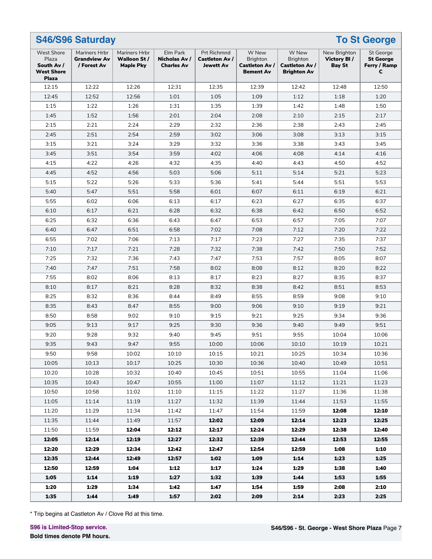| <b>S46/S96 Saturday</b><br><b>To St George</b>                                |                                                     |                                                   |                                                |                                                          |                                                                |                                                                  |                                                     |                                                           |  |  |  |
|-------------------------------------------------------------------------------|-----------------------------------------------------|---------------------------------------------------|------------------------------------------------|----------------------------------------------------------|----------------------------------------------------------------|------------------------------------------------------------------|-----------------------------------------------------|-----------------------------------------------------------|--|--|--|
| <b>West Shore</b><br>Plaza<br>South Av /<br><b>West Shore</b><br><b>Plaza</b> | Mariners Hrbr<br><b>Grandview Av</b><br>/ Forest Av | Mariners Hrbr<br>Walloon St /<br><b>Maple Pky</b> | Elm Park<br>Nicholas Av /<br><b>Charles Av</b> | <b>Prt Richmnd</b><br>Castleton Av /<br><b>Jewett Av</b> | W New<br><b>Brighton</b><br>Castleton Av /<br><b>Bement Av</b> | W New<br><b>Brighton</b><br>Castleton Av /<br><b>Brighton Av</b> | New Brighton<br><b>Victory BI/</b><br><b>Bay St</b> | <b>St George</b><br><b>St George</b><br>Ferry / Ramp<br>c |  |  |  |
| 12:15                                                                         | 12:22                                               | 12:26                                             | 12:31                                          | 12:35                                                    | 12:39                                                          | 12:42                                                            | 12:48                                               | 12:50                                                     |  |  |  |
| 12:45                                                                         | 12:52                                               | 12:56                                             | 1:01                                           | 1:05                                                     | 1:09                                                           | 1:12                                                             | 1:18                                                | 1:20                                                      |  |  |  |
| 1:15                                                                          | 1:22                                                | 1:26                                              | 1:31                                           | 1:35                                                     | 1:39                                                           | 1:42                                                             | 1:48                                                | 1:50                                                      |  |  |  |
| 1:45                                                                          | 1:52                                                | 1:56                                              | 2:01                                           | 2:04                                                     | 2:08                                                           | 2:10                                                             | 2:15                                                | 2:17                                                      |  |  |  |
| 2:15                                                                          | 2:21                                                | 2:24                                              | 2:29                                           | 2:32                                                     | 2:36                                                           | 2:38                                                             | 2:43                                                | 2:45                                                      |  |  |  |
| 2:45                                                                          | 2:51                                                | 2:54                                              | 2:59                                           | 3:02                                                     | 3:06                                                           | 3:08                                                             | 3:13                                                | 3:15                                                      |  |  |  |
| 3:15                                                                          | 3:21                                                | 3:24                                              | 3:29                                           | 3:32                                                     | 3:36                                                           | 3:38                                                             | 3:43                                                | 3:45                                                      |  |  |  |
| 3:45                                                                          | 3:51                                                | 3:54                                              | 3:59                                           | 4:02                                                     | 4:06                                                           | 4:08                                                             | 4:14                                                | 4:16                                                      |  |  |  |
| 4:15                                                                          | 4:22                                                | 4:26                                              | 4:32                                           | 4:35                                                     | 4:40                                                           | 4:43                                                             | 4:50                                                | 4:52                                                      |  |  |  |
| 4:45                                                                          | 4:52                                                | 4:56                                              | 5:03                                           | 5:06                                                     | 5:11                                                           | 5:14                                                             | 5:21                                                | 5:23                                                      |  |  |  |
| 5:15                                                                          | 5:22                                                | 5:26                                              | 5:33                                           | 5:36                                                     | 5:41                                                           | 5:44                                                             | 5:51                                                | 5:53                                                      |  |  |  |
| 5:40                                                                          | 5:47                                                | 5:51                                              | 5:58                                           | 6:01                                                     | 6:07                                                           | 6:11                                                             | 6:19                                                | 6:21                                                      |  |  |  |
| 5:55                                                                          | 6:02                                                | 6:06                                              | 6:13                                           | 6:17                                                     | 6:23                                                           | 6:27                                                             | 6:35                                                | 6:37                                                      |  |  |  |
| 6:10                                                                          | 6:17                                                | 6:21                                              | 6:28                                           | 6:32                                                     | 6:38                                                           | 6:42                                                             | 6:50                                                | 6:52                                                      |  |  |  |
| 6:25                                                                          | 6:32                                                | 6:36                                              | 6:43                                           | 6:47                                                     | 6:53                                                           | 6:57                                                             | 7:05                                                | 7:07                                                      |  |  |  |
| 6:40                                                                          | 6:47                                                | 6:51                                              | 6:58                                           | 7:02                                                     | 7:08                                                           | 7:12                                                             | 7:20                                                | 7:22                                                      |  |  |  |
| 6:55                                                                          | 7:02                                                | 7:06                                              | 7:13                                           | 7:17                                                     | 7:23                                                           | 7:27                                                             | 7:35                                                | 7:37                                                      |  |  |  |
| 7:10                                                                          | 7:17                                                | 7:21                                              | 7:28                                           | 7:32                                                     | 7:38                                                           | 7:42                                                             | 7:50                                                | 7:52                                                      |  |  |  |
| 7:25                                                                          | 7:32                                                | 7:36                                              | 7:43                                           | 7:47                                                     | 7:53                                                           | 7:57                                                             | 8:05                                                | 8:07                                                      |  |  |  |
| 7:40                                                                          | 7:47                                                | 7:51                                              | 7:58                                           | 8:02                                                     | 8:08                                                           | 8:12                                                             | 8:20                                                | 8:22                                                      |  |  |  |
| 7:55                                                                          | 8:02                                                | 8:06                                              | 8:13                                           | 8:17                                                     | 8:23                                                           | 8:27                                                             | 8:35                                                | 8:37                                                      |  |  |  |
| 8:10                                                                          | 8:17                                                | 8:21                                              | 8:28                                           | 8:32                                                     | 8:38                                                           | 8:42                                                             | 8:51                                                | 8:53                                                      |  |  |  |
| 8:25                                                                          | 8:32                                                | 8:36                                              | 8:44                                           | 8:49                                                     | 8:55                                                           | 8:59                                                             | 9:08                                                | 9:10                                                      |  |  |  |
| 8:35                                                                          | 8:43                                                | 8:47                                              | 8:55                                           | 9:00                                                     | 9:06                                                           | 9:10                                                             | 9:19                                                | 9:21                                                      |  |  |  |
| 8:50                                                                          | 8:58                                                | 9:02                                              | 9:10                                           | 9:15                                                     | 9:21                                                           | 9:25                                                             | 9:34                                                | 9:36                                                      |  |  |  |
| 9:05                                                                          | 9:13                                                | 9:17                                              | 9:25                                           | 9:30                                                     | 9:36                                                           | 9:40                                                             | 9:49                                                | 9:51                                                      |  |  |  |
| 9:20                                                                          | 9:28                                                | 9:32                                              | 9:40                                           | 9:45                                                     | 9:51                                                           | 9:55                                                             | 10:04                                               | 10:06                                                     |  |  |  |
| 9:35                                                                          | 9:43                                                | 9:47                                              | 9:55                                           | 10:00                                                    | 10:06                                                          | 10:10                                                            | 10:19                                               | 10:21                                                     |  |  |  |
| 9:50                                                                          | 9:58                                                | 10:02                                             | 10:10                                          | 10:15                                                    | 10:21                                                          | 10:25                                                            | 10:34                                               | 10:36                                                     |  |  |  |
| 10:05                                                                         | 10:13                                               | 10:17                                             | 10:25                                          | 10:30                                                    | 10:36                                                          | 10:40                                                            | 10:49                                               | 10:51                                                     |  |  |  |
| 10:20                                                                         | 10:28                                               | 10:32                                             | 10:40                                          | 10:45                                                    | 10:51                                                          | 10:55                                                            | 11:04                                               | 11:06                                                     |  |  |  |
| 10:35                                                                         | 10:43                                               | 10:47                                             | 10:55                                          | 11:00                                                    | 11:07                                                          | 11:12                                                            | 11:21                                               | 11:23                                                     |  |  |  |
| 10:50                                                                         | 10:58                                               | 11:02                                             | 11:10                                          | 11:15                                                    | 11:22                                                          | 11:27                                                            | 11:36                                               | 11:38                                                     |  |  |  |
| 11:05                                                                         | 11:14                                               | 11:19                                             | 11:27                                          | 11:32                                                    | 11:39                                                          | 11:44                                                            | 11:53                                               | 11:55                                                     |  |  |  |
| 11:20                                                                         | 11:29                                               | 11:34                                             | 11:42                                          | 11:47                                                    | 11:54                                                          | 11:59                                                            | 12:08                                               | 12:10                                                     |  |  |  |
| 11:35                                                                         | 11:44                                               | 11:49                                             | 11:57                                          | 12:02                                                    | 12:09                                                          | 12:14                                                            | 12:23                                               | 12:25                                                     |  |  |  |
| 11:50                                                                         | 11:59                                               | 12:04                                             | 12:12                                          | 12:17                                                    | 12:24                                                          | 12:29                                                            | 12:38                                               | 12:40                                                     |  |  |  |
| 12:05                                                                         | 12:14                                               | 12:19                                             | 12:27                                          | 12:32                                                    | 12:39                                                          | 12:44                                                            | 12:53                                               | 12:55                                                     |  |  |  |
| 12:20                                                                         | 12:29                                               | 12:34                                             | 12:42                                          | 12:47                                                    | 12:54                                                          | 12:59                                                            | 1:08                                                | 1:10                                                      |  |  |  |
| 12:35                                                                         | 12:44                                               | 12:49                                             | 12:57                                          | 1:02                                                     | 1:09                                                           | 1:14                                                             | 1:23                                                | 1:25                                                      |  |  |  |
| 12:50                                                                         | 12:59                                               | 1:04                                              | 1:12                                           | 1:17                                                     | 1:24                                                           | 1:29                                                             | 1:38                                                | 1:40                                                      |  |  |  |
| 1:05                                                                          | 1:14                                                | 1:19                                              | 1:27                                           | 1:32                                                     | 1:39                                                           | 1:44                                                             | 1:53                                                | 1:55                                                      |  |  |  |
| 1:20                                                                          | 1:29                                                | 1:34                                              | 1:42                                           | 1:47                                                     | 1:54                                                           | 1:59                                                             | 2:08                                                | 2:10                                                      |  |  |  |
| 1:35                                                                          | 1:44                                                | 1:49                                              | 1:57                                           | 2:02                                                     | 2:09                                                           | 2:14                                                             | 2:23                                                | 2:25                                                      |  |  |  |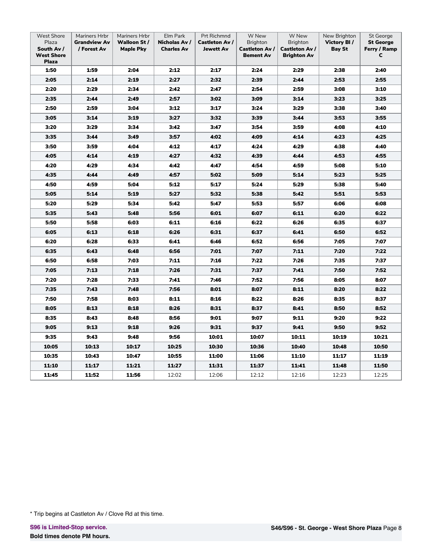| <b>West Shore</b><br>Plaza<br>South Av /<br><b>West Shore</b><br><b>Plaza</b> | Mariners Hrbr<br><b>Grandview Av</b><br>/ Forest Av | Mariners Hrbr<br>Walloon St /<br><b>Maple Pky</b> | Elm Park<br>Nicholas Av /<br><b>Charles Av</b> | Prt Richmnd<br><b>Castleton Av /</b><br><b>Jewett Av</b> | W New<br><b>Brighton</b><br><b>Castleton Av /</b><br><b>Bement Av</b> | W New<br><b>Brighton</b><br><b>Castleton Av /</b><br><b>Brighton Av</b> | New Brighton<br>Victory BI/<br><b>Bay St</b> | St George<br><b>St George</b><br>Ferry / Ramp<br>c |
|-------------------------------------------------------------------------------|-----------------------------------------------------|---------------------------------------------------|------------------------------------------------|----------------------------------------------------------|-----------------------------------------------------------------------|-------------------------------------------------------------------------|----------------------------------------------|----------------------------------------------------|
| 1:50                                                                          | 1:59                                                | 2:04                                              | 2:12                                           | 2:17                                                     | 2:24                                                                  | 2:29                                                                    | 2:38                                         | 2:40                                               |
| 2:05                                                                          | 2:14                                                | 2:19                                              | 2:27                                           | 2:32                                                     | 2:39                                                                  | 2:44                                                                    | 2:53                                         | 2:55                                               |
| 2:20                                                                          | 2:29                                                | 2:34                                              | 2:42                                           | 2:47                                                     | 2:54                                                                  | 2:59                                                                    | 3:08                                         | 3:10                                               |
| 2:35                                                                          | 2:44                                                | 2:49                                              | 2:57                                           | 3:02                                                     | 3:09                                                                  | 3:14                                                                    | 3:23                                         | 3:25                                               |
| 2:50                                                                          | 2:59                                                | 3:04                                              | 3:12                                           | 3:17                                                     | 3:24                                                                  | 3:29                                                                    | 3:38                                         | 3:40                                               |
| 3:05                                                                          | 3:14                                                | 3:19                                              | 3:27                                           | 3:32                                                     | 3:39                                                                  | 3:44                                                                    | 3:53                                         | 3:55                                               |
| 3:20                                                                          | 3:29                                                | 3:34                                              | 3:42                                           | 3:47                                                     | 3:54                                                                  | 3:59                                                                    | 4:08                                         | 4:10                                               |
| 3:35                                                                          | 3:44                                                | 3:49                                              | 3:57                                           | 4:02                                                     | 4:09                                                                  | 4:14                                                                    | 4:23                                         | 4:25                                               |
| 3:50                                                                          | 3:59                                                | 4:04                                              | 4:12                                           | 4:17                                                     | 4:24                                                                  | 4:29                                                                    | 4:38                                         | 4:40                                               |
| 4:05                                                                          | 4:14                                                | 4:19                                              | 4:27                                           | 4:32                                                     | 4:39                                                                  | 4:44                                                                    | 4:53                                         | 4:55                                               |
| 4:20                                                                          | 4:29                                                | 4:34                                              | 4:42                                           | 4:47                                                     | 4:54                                                                  | 4:59                                                                    | 5:08                                         | 5:10                                               |
| 4:35                                                                          | 4:44                                                | 4:49                                              | 4:57                                           | 5:02                                                     | 5:09                                                                  | 5:14                                                                    | 5:23                                         | 5:25                                               |
| 4:50                                                                          | 4:59                                                | 5:04                                              | 5:12                                           | 5:17                                                     | 5:24                                                                  | 5:29                                                                    | 5:38                                         | 5:40                                               |
| 5:05                                                                          | 5:14                                                | 5:19                                              | 5:27                                           | 5:32                                                     | 5:38                                                                  | 5:42                                                                    | 5:51                                         | 5:53                                               |
| 5:20                                                                          | 5:29                                                | 5:34                                              | 5:42                                           | 5:47                                                     | 5:53                                                                  | 5:57                                                                    | 6:06                                         | 6:08                                               |
| 5:35                                                                          | 5:43                                                | 5:48                                              | 5:56                                           | 6:01                                                     | 6:07                                                                  | 6:11                                                                    | 6:20                                         | 6:22                                               |
| 5:50                                                                          | 5:58                                                | 6:03                                              | 6:11                                           | 6:16                                                     | 6:22                                                                  | 6:26                                                                    | 6:35                                         | 6:37                                               |
| 6:05                                                                          | 6:13                                                | 6:18                                              | 6:26                                           | 6:31                                                     | 6:37                                                                  | 6:41                                                                    | 6:50                                         | 6:52                                               |
| 6:20                                                                          | 6:28                                                | 6:33                                              | 6:41                                           | 6:46                                                     | 6:52                                                                  | 6:56                                                                    | 7:05                                         | 7:07                                               |
| 6:35                                                                          | 6:43                                                | 6:48                                              | 6:56                                           | 7:01                                                     | 7:07                                                                  | 7:11                                                                    | 7:20                                         | 7:22                                               |
| 6:50                                                                          | 6:58                                                | 7:03                                              | 7:11                                           | 7:16                                                     | 7:22                                                                  | 7:26                                                                    | 7:35                                         | 7:37                                               |
| 7:05                                                                          | 7:13                                                | 7:18                                              | 7:26                                           | 7:31                                                     | 7:37                                                                  | 7:41                                                                    | 7:50                                         | 7:52                                               |
| 7:20                                                                          | 7:28                                                | 7:33                                              | 7:41                                           | 7:46                                                     | 7:52                                                                  | 7:56                                                                    | 8:05                                         | 8:07                                               |
| 7:35                                                                          | 7:43                                                | 7:48                                              | 7:56                                           | 8:01                                                     | 8:07                                                                  | 8:11                                                                    | 8:20                                         | 8:22                                               |
| 7:50                                                                          | 7:58                                                | 8:03                                              | 8:11                                           | 8:16                                                     | 8:22                                                                  | 8:26                                                                    | 8:35                                         | 8:37                                               |
| 8:05                                                                          | 8:13                                                | 8:18                                              | 8:26                                           | 8:31                                                     | 8:37                                                                  | 8:41                                                                    | 8:50                                         | 8:52                                               |
| 8:35                                                                          | 8:43                                                | 8:48                                              | 8:56                                           | 9:01                                                     | 9:07                                                                  | 9:11                                                                    | 9:20                                         | 9:22                                               |
| 9:05                                                                          | 9:13                                                | 9:18                                              | 9:26                                           | 9:31                                                     | 9:37                                                                  | 9:41                                                                    | 9:50                                         | 9:52                                               |
| 9:35                                                                          | 9:43                                                | 9:48                                              | 9:56                                           | 10:01                                                    | 10:07                                                                 | 10:11                                                                   | 10:19                                        | 10:21                                              |
| 10:05                                                                         | 10:13                                               | 10:17                                             | 10:25                                          | 10:30                                                    | 10:36                                                                 | 10:40                                                                   | 10:48                                        | 10:50                                              |
| 10:35                                                                         | 10:43                                               | 10:47                                             | 10:55                                          | 11:00                                                    | 11:06                                                                 | 11:10                                                                   | 11:17                                        | 11:19                                              |
| 11:10                                                                         | 11:17                                               | 11:21                                             | 11:27                                          | 11:31                                                    | 11:37                                                                 | 11:41                                                                   | 11:48                                        | 11:50                                              |
| 11:45                                                                         | 11:52                                               | 11:56                                             | 12:02                                          | 12:06                                                    | 12:12                                                                 | 12:16                                                                   | 12:23                                        | 12:25                                              |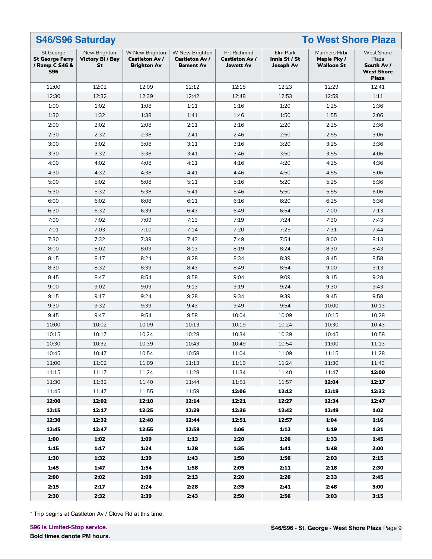|                                                                     | <b>S46/S96 Saturday</b><br><b>To West Shore Plaza</b> |                                                               |                                                             |                                                          |                                               |                                                   |                                                                               |  |  |  |  |  |
|---------------------------------------------------------------------|-------------------------------------------------------|---------------------------------------------------------------|-------------------------------------------------------------|----------------------------------------------------------|-----------------------------------------------|---------------------------------------------------|-------------------------------------------------------------------------------|--|--|--|--|--|
| St George<br><b>St George Ferry</b><br>/ Ramp C S46 &<br><b>S96</b> | New Brighton<br><b>Victory BI / Bay</b><br>St         | W New Brighton<br><b>Castleton Av /</b><br><b>Brighton Av</b> | W New Brighton<br><b>Castleton Av /</b><br><b>Bement Av</b> | <b>Prt Richmnd</b><br>Castleton Av /<br><b>Jewett Av</b> | Elm Park<br>Innis St / St<br><b>Joseph Av</b> | Mariners Hrbr<br>Maple Pky /<br><b>Walloon St</b> | <b>West Shore</b><br>Plaza<br>South Av /<br><b>West Shore</b><br><b>Plaza</b> |  |  |  |  |  |
| 12:00                                                               | 12:02                                                 | 12:09                                                         | 12:12                                                       | 12:18                                                    | 12:23                                         | 12:29                                             | 12:41                                                                         |  |  |  |  |  |
| 12:30                                                               | 12:32                                                 | 12:39                                                         | 12:42                                                       | 12:48                                                    | 12:53                                         | 12:59                                             | 1:11                                                                          |  |  |  |  |  |
| 1:00                                                                | 1:02                                                  | 1:08                                                          | 1:11                                                        | 1:16                                                     | 1:20                                          | 1:25                                              | 1:36                                                                          |  |  |  |  |  |
| 1:30                                                                | 1:32                                                  | 1:38                                                          | 1:41                                                        | 1:46                                                     | 1:50                                          | 1:55                                              | 2:06                                                                          |  |  |  |  |  |
| 2:00                                                                | 2:02                                                  | 2:08                                                          | 2:11                                                        | 2:16                                                     | 2:20                                          | 2:25                                              | 2:36                                                                          |  |  |  |  |  |
| 2:30                                                                | 2:32                                                  | 2:38                                                          | 2:41                                                        | 2:46                                                     | 2:50                                          | 2:55                                              | 3:06                                                                          |  |  |  |  |  |
| 3:00                                                                | 3:02                                                  | 3:08                                                          | 3:11                                                        | 3:16                                                     | 3:20                                          | 3:25                                              | 3:36                                                                          |  |  |  |  |  |
| 3:30                                                                | 3:32                                                  | 3:38                                                          | 3:41                                                        | 3:46                                                     | 3:50                                          | 3:55                                              | 4:06                                                                          |  |  |  |  |  |
| 4:00                                                                | 4:02                                                  | 4:08                                                          | 4:11                                                        | 4:16                                                     | 4:20                                          | 4:25                                              | 4:36                                                                          |  |  |  |  |  |
| 4:30                                                                | 4:32                                                  | 4:38                                                          | 4:41                                                        | 4:46                                                     | 4:50                                          | 4:55                                              | 5:06                                                                          |  |  |  |  |  |
| 5:00                                                                | 5:02                                                  | 5:08                                                          | 5:11                                                        | 5:16                                                     | 5:20                                          | 5:25                                              | 5:36                                                                          |  |  |  |  |  |
| 5:30                                                                | 5:32                                                  | 5:38                                                          | 5:41                                                        | 5:46                                                     | 5:50                                          | 5:55                                              | 6:06                                                                          |  |  |  |  |  |
| 6:00                                                                | 6:02                                                  | 6:08                                                          | 6:11                                                        | 6:16                                                     | 6:20                                          | 6:25                                              | 6:36                                                                          |  |  |  |  |  |
| 6:30                                                                | 6:32                                                  | 6:39                                                          | 6:43                                                        | 6:49                                                     | 6:54                                          | 7:00                                              | 7:13                                                                          |  |  |  |  |  |
| 7:00                                                                | 7:02                                                  | 7:09                                                          | 7:13                                                        | 7:19                                                     | 7:24                                          | 7:30                                              | 7:43                                                                          |  |  |  |  |  |
| 7:01                                                                | 7:03                                                  | 7:10                                                          | 7:14                                                        | 7:20                                                     | 7:25                                          | 7:31                                              | 7:44                                                                          |  |  |  |  |  |
| 7:30                                                                | 7:32                                                  | 7:39                                                          | 7:43                                                        | 7:49                                                     | 7:54                                          | 8:00                                              | 8:13                                                                          |  |  |  |  |  |
| 8:00                                                                | 8:02                                                  | 8:09                                                          | 8:13                                                        | 8:19                                                     | 8:24                                          | 8:30                                              | 8:43                                                                          |  |  |  |  |  |
| 8:15                                                                | 8:17                                                  | 8:24                                                          | 8:28                                                        | 8:34                                                     | 8:39                                          | 8:45                                              | 8:58                                                                          |  |  |  |  |  |
| 8:30                                                                | 8:32                                                  | 8:39                                                          | 8:43                                                        | 8:49                                                     | 8:54                                          | 9:00                                              | 9:13                                                                          |  |  |  |  |  |
| 8:45                                                                | 8:47                                                  | 8:54                                                          | 8:58                                                        | 9:04                                                     | 9:09                                          | 9:15                                              | 9:28                                                                          |  |  |  |  |  |
| 9:00                                                                | 9:02                                                  | 9:09                                                          | 9:13                                                        | 9:19                                                     | 9:24                                          | 9:30                                              | 9:43                                                                          |  |  |  |  |  |
| 9:15                                                                | 9:17                                                  | 9:24                                                          | 9:28                                                        | 9:34                                                     | 9:39                                          | 9:45                                              | 9:58                                                                          |  |  |  |  |  |
| 9:30                                                                | 9:32                                                  | 9:39                                                          | 9:43                                                        | 9:49                                                     | 9:54                                          | 10:00                                             | 10:13                                                                         |  |  |  |  |  |
| 9:45                                                                | 9:47                                                  | 9:54                                                          | 9:58                                                        | 10:04                                                    | 10:09                                         | 10:15                                             | 10:28                                                                         |  |  |  |  |  |
| 10:00                                                               | 10:02                                                 | 10:09                                                         | 10:13                                                       | 10:19                                                    | 10:24                                         | 10:30                                             | 10:43                                                                         |  |  |  |  |  |
| 10:15                                                               | 10:17                                                 | 10:24                                                         | 10:28                                                       | 10:34                                                    | 10:39                                         | 10:45                                             | 10:58                                                                         |  |  |  |  |  |
| 10:30                                                               | 10:32                                                 | 10:39                                                         | 10:43                                                       | 10:49                                                    | 10:54                                         | 11:00                                             | 11:13                                                                         |  |  |  |  |  |
| 10:45                                                               | 10:47                                                 | 10:54                                                         | 10:58                                                       | 11:04                                                    | 11:09                                         | 11:15                                             | 11:28                                                                         |  |  |  |  |  |
| 11:00                                                               | 11:02                                                 | 11:09                                                         | 11:13                                                       | 11:19                                                    | 11:24                                         | 11:30                                             | 11:43                                                                         |  |  |  |  |  |
| 11:15                                                               | 11:17                                                 | 11:24                                                         | 11:28                                                       | 11:34                                                    | 11:40                                         | 11:47                                             | 12:00                                                                         |  |  |  |  |  |
| 11:30                                                               | 11:32                                                 | 11:40                                                         | 11:44                                                       | 11:51                                                    | 11:57                                         | 12:04                                             | 12:17                                                                         |  |  |  |  |  |
| 11:45                                                               | 11:47                                                 | 11:55                                                         | 11:59                                                       | 12:06                                                    | 12:12                                         | 12:19                                             | 12:32                                                                         |  |  |  |  |  |
| 12:00                                                               | 12:02                                                 | 12:10                                                         | 12:14                                                       | 12:21                                                    | 12:27                                         | 12:34                                             | 12:47                                                                         |  |  |  |  |  |
| 12:15                                                               | 12:17                                                 | 12:25                                                         | 12:29                                                       | 12:36                                                    | 12:42                                         | 12:49                                             | 1:02                                                                          |  |  |  |  |  |
| 12:30                                                               | 12:32                                                 | 12:40                                                         | 12:44                                                       | 12:51                                                    | 12:57                                         | 1:04                                              | 1:16                                                                          |  |  |  |  |  |
| 12:45                                                               | 12:47                                                 | 12:55                                                         | 12:59                                                       | 1:06                                                     | 1:12                                          | 1:19                                              | 1:31                                                                          |  |  |  |  |  |
| 1:00                                                                | 1:02                                                  | 1:09                                                          | 1:13                                                        | 1:20                                                     | 1:26                                          | 1:33                                              | 1:45                                                                          |  |  |  |  |  |
| 1:15                                                                | 1:17                                                  | 1:24                                                          | 1:28                                                        | 1:35                                                     | 1:41                                          | 1:48                                              | 2:00                                                                          |  |  |  |  |  |
| 1:30                                                                | 1:32                                                  | 1:39                                                          | 1:43                                                        | 1:50                                                     | 1:56                                          | 2:03                                              | 2:15                                                                          |  |  |  |  |  |
| 1:45                                                                | 1:47                                                  | 1:54                                                          | 1:58                                                        | 2:05                                                     | 2:11                                          | 2:18                                              | 2:30                                                                          |  |  |  |  |  |
| 2:00                                                                | 2:02                                                  | 2:09                                                          | 2:13                                                        | 2:20                                                     | 2:26                                          | 2:33                                              | 2:45                                                                          |  |  |  |  |  |
| 2:15                                                                | 2:17                                                  | 2:24                                                          | 2:28                                                        | 2:35                                                     | 2:41                                          | 2:48                                              | 3:00                                                                          |  |  |  |  |  |
| 2:30                                                                | 2:32                                                  | 2:39                                                          | 2:43                                                        | 2:50                                                     | 2:56                                          | 3:03                                              | 3:15                                                                          |  |  |  |  |  |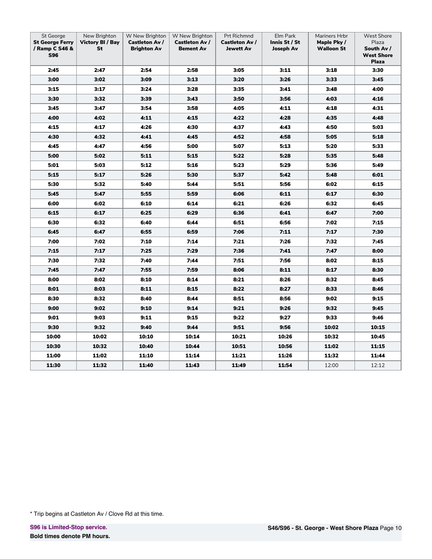| St George<br><b>St George Ferry</b><br>/ Ramp C S46 &<br><b>S96</b> | New Brighton<br><b>Victory BI / Bay</b><br>St | W New Brighton<br><b>Castleton Av /</b><br><b>Brighton Av</b> | W New Brighton<br><b>Castleton Av /</b><br><b>Bement Av</b> | Prt Richmnd<br>Castleton Av /<br><b>Jewett Av</b> | Elm Park<br>Innis St / St<br><b>Joseph Av</b> | Mariners Hrbr<br>Maple Pky /<br><b>Walloon St</b> | <b>West Shore</b><br>Plaza<br>South Av /<br><b>West Shore</b><br><b>Plaza</b> |
|---------------------------------------------------------------------|-----------------------------------------------|---------------------------------------------------------------|-------------------------------------------------------------|---------------------------------------------------|-----------------------------------------------|---------------------------------------------------|-------------------------------------------------------------------------------|
| 2:45                                                                | 2:47                                          | 2:54                                                          | 2:58                                                        | 3:05                                              | 3:11                                          | 3:18                                              | 3:30                                                                          |
| 3:00                                                                | 3:02                                          | 3:09                                                          | 3:13                                                        | 3:20                                              | 3:26                                          | 3:33                                              | 3:45                                                                          |
| 3:15                                                                | 3:17                                          | 3:24                                                          | 3:28                                                        | 3:35                                              | 3:41                                          | 3:48                                              | 4:00                                                                          |
| 3:30                                                                | 3:32                                          | 3:39                                                          | 3:43                                                        | 3:50                                              | 3:56                                          | 4:03                                              | 4:16                                                                          |
| 3:45                                                                | 3:47                                          | 3:54                                                          | 3:58                                                        | 4:05                                              | 4:11                                          | 4:18                                              | 4:31                                                                          |
| 4:00                                                                | 4:02                                          | 4:11                                                          | 4:15                                                        | 4:22                                              | 4:28                                          | 4:35                                              | 4:48                                                                          |
| 4:15                                                                | 4:17                                          | 4:26                                                          | 4:30                                                        | 4:37                                              | 4:43                                          | 4:50                                              | 5:03                                                                          |
| 4:30                                                                | 4:32                                          | 4:41                                                          | 4:45                                                        | 4:52                                              | 4:58                                          | 5:05                                              | 5:18                                                                          |
| 4:45                                                                | 4:47                                          | 4:56                                                          | 5:00                                                        | 5:07                                              | 5:13                                          | 5:20                                              | 5:33                                                                          |
| 5:00                                                                | 5:02                                          | 5:11                                                          | 5:15                                                        | 5:22                                              | 5:28                                          | 5:35                                              | 5:48                                                                          |
| 5:01                                                                | 5:03                                          | 5:12                                                          | 5:16                                                        | 5:23                                              | 5:29                                          | 5:36                                              | 5:49                                                                          |
| 5:15                                                                | 5:17                                          | 5:26                                                          | 5:30                                                        | 5:37                                              | 5:42                                          | 5:48                                              | 6:01                                                                          |
| 5:30                                                                | 5:32                                          | 5:40                                                          | 5:44                                                        | 5:51                                              | 5:56                                          | 6:02                                              | 6:15                                                                          |
| 5:45                                                                | 5:47                                          | 5:55                                                          | 5:59                                                        | 6:06                                              | 6:11                                          | 6:17                                              | 6:30                                                                          |
| 6:00                                                                | 6:02                                          | 6:10                                                          | 6:14                                                        | 6:21                                              | 6:26                                          | 6:32                                              | 6:45                                                                          |
| 6:15                                                                | 6:17                                          | 6:25                                                          | 6:29                                                        | 6:36                                              | 6:41                                          | 6:47                                              | 7:00                                                                          |
| 6:30                                                                | 6:32                                          | 6:40                                                          | 6:44                                                        | 6:51                                              | 6:56                                          | 7:02                                              | 7:15                                                                          |
| 6:45                                                                | 6:47                                          | 6:55                                                          | 6:59                                                        | 7:06                                              | 7:11                                          | 7:17                                              | 7:30                                                                          |
| 7:00                                                                | 7:02                                          | 7:10                                                          | 7:14                                                        | 7:21                                              | 7:26                                          | 7:32                                              | 7:45                                                                          |
| 7:15                                                                | 7:17                                          | 7:25                                                          | 7:29                                                        | 7:36                                              | 7:41                                          | 7:47                                              | 8:00                                                                          |
| 7:30                                                                | 7:32                                          | 7:40                                                          | 7:44                                                        | 7:51                                              | 7:56                                          | 8:02                                              | 8:15                                                                          |
| 7:45                                                                | 7:47                                          | 7:55                                                          | 7:59                                                        | 8:06                                              | 8:11                                          | 8:17                                              | 8:30                                                                          |
| 8:00                                                                | 8:02                                          | 8:10                                                          | 8:14                                                        | 8:21                                              | 8:26                                          | 8:32                                              | 8:45                                                                          |
| 8:01                                                                | 8:03                                          | 8:11                                                          | 8:15                                                        | 8:22                                              | 8:27                                          | 8:33                                              | 8:46                                                                          |
| 8:30                                                                | 8:32                                          | 8:40                                                          | 8:44                                                        | 8:51                                              | 8:56                                          | 9:02                                              | 9:15                                                                          |
| 9:00                                                                | 9:02                                          | 9:10                                                          | 9:14                                                        | 9:21                                              | 9:26                                          | 9:32                                              | 9:45                                                                          |
| 9:01                                                                | 9:03                                          | 9:11                                                          | 9:15                                                        | 9:22                                              | 9:27                                          | 9:33                                              | 9:46                                                                          |
| 9:30                                                                | 9:32                                          | 9:40                                                          | 9:44                                                        | 9:51                                              | 9:56                                          | 10:02                                             | 10:15                                                                         |
| 10:00                                                               | 10:02                                         | 10:10                                                         | 10:14                                                       | 10:21                                             | 10:26                                         | 10:32                                             | 10:45                                                                         |
| 10:30                                                               | 10:32                                         | 10:40                                                         | 10:44                                                       | 10:51                                             | 10:56                                         | 11:02                                             | 11:15                                                                         |
| 11:00                                                               | 11:02                                         | 11:10                                                         | 11:14                                                       | 11:21                                             | 11:26                                         | 11:32                                             | 11:44                                                                         |
| 11:30                                                               | 11:32                                         | 11:40                                                         | 11:43                                                       | 11:49                                             | 11:54                                         | 12:00                                             | 12:12                                                                         |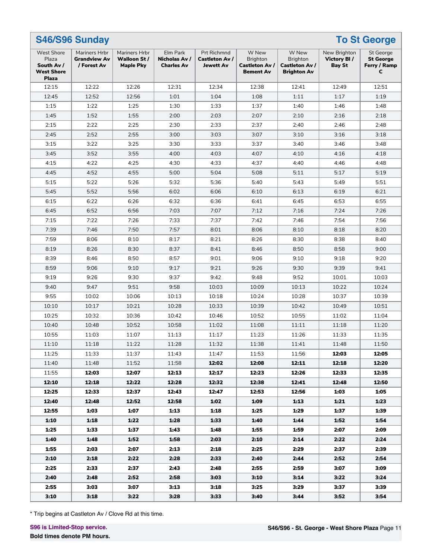| S46/S96 Sunday<br><b>To St George</b>                                         |                                                     |                                                  |                                                |                                                          |                                                                |                                                                  |                                              |                                                           |  |  |  |
|-------------------------------------------------------------------------------|-----------------------------------------------------|--------------------------------------------------|------------------------------------------------|----------------------------------------------------------|----------------------------------------------------------------|------------------------------------------------------------------|----------------------------------------------|-----------------------------------------------------------|--|--|--|
| <b>West Shore</b><br>Plaza<br>South Av /<br><b>West Shore</b><br><b>Plaza</b> | Mariners Hrbr<br><b>Grandview Av</b><br>/ Forest Av | Mariners Hrbr<br>Walloon St/<br><b>Maple Pky</b> | Elm Park<br>Nicholas Av /<br><b>Charles Av</b> | <b>Prt Richmnd</b><br>Castleton Av /<br><b>Jewett Av</b> | W New<br><b>Brighton</b><br>Castleton Av /<br><b>Bement Av</b> | W New<br><b>Brighton</b><br>Castleton Av /<br><b>Brighton Av</b> | New Brighton<br>Victory BI/<br><b>Bay St</b> | <b>St George</b><br><b>St George</b><br>Ferry / Ramp<br>c |  |  |  |
| 12:15                                                                         | 12:22                                               | 12:26                                            | 12:31                                          | 12:34                                                    | 12:38                                                          | 12:41                                                            | 12:49                                        | 12:51                                                     |  |  |  |
| 12:45                                                                         | 12:52                                               | 12:56                                            | 1:01                                           | 1:04                                                     | 1:08                                                           | 1:11                                                             | 1:17                                         | 1:19                                                      |  |  |  |
| 1:15                                                                          | 1:22                                                | 1:25                                             | 1:30                                           | 1:33                                                     | 1:37                                                           | 1:40                                                             | 1:46                                         | 1:48                                                      |  |  |  |
| 1:45                                                                          | 1:52                                                | 1:55                                             | 2:00                                           | 2:03                                                     | 2:07                                                           | 2:10                                                             | 2:16                                         | 2:18                                                      |  |  |  |
| 2:15                                                                          | 2:22                                                | 2:25                                             | 2:30                                           | 2:33                                                     | 2:37                                                           | 2:40                                                             | 2:46                                         | 2:48                                                      |  |  |  |
| 2:45                                                                          | 2:52                                                | 2:55                                             | 3:00                                           | 3:03                                                     | 3:07                                                           | 3:10                                                             | 3:16                                         | 3:18                                                      |  |  |  |
| 3:15                                                                          | 3:22                                                | 3:25                                             | 3:30                                           | 3:33                                                     | 3:37                                                           | 3:40                                                             | 3:46                                         | 3:48                                                      |  |  |  |
| 3:45                                                                          | 3:52                                                | 3:55                                             | 4:00                                           | 4:03                                                     | 4:07                                                           | 4:10                                                             | 4:16                                         | 4:18                                                      |  |  |  |
| 4:15                                                                          | 4:22                                                | 4:25                                             | 4:30                                           | 4:33                                                     | 4:37                                                           | 4:40                                                             | 4:46                                         | 4:48                                                      |  |  |  |
| 4:45                                                                          | 4:52                                                | 4:55                                             | 5:00                                           | 5:04                                                     | 5:08                                                           | 5:11                                                             | 5:17                                         | 5:19                                                      |  |  |  |
| 5:15                                                                          | 5:22                                                | 5:26                                             | 5:32                                           | 5:36                                                     | 5:40                                                           | 5:43                                                             | 5:49                                         | 5:51                                                      |  |  |  |
| 5:45                                                                          | 5:52                                                | 5:56                                             | 6:02                                           | 6:06                                                     | 6:10                                                           | 6:13                                                             | 6:19                                         | 6:21                                                      |  |  |  |
| 6:15                                                                          | 6:22                                                | 6:26                                             | 6:32                                           | 6:36                                                     | 6:41                                                           | 6:45                                                             | 6:53                                         | 6:55                                                      |  |  |  |
| 6:45                                                                          | 6:52                                                | 6:56                                             | 7:03                                           | 7:07                                                     | 7:12                                                           | 7:16                                                             | 7:24                                         | 7:26                                                      |  |  |  |
| 7:15                                                                          | 7:22                                                | 7:26                                             | 7:33                                           | 7:37                                                     | 7:42                                                           | 7:46                                                             | 7:54                                         | 7:56                                                      |  |  |  |
| 7:39                                                                          | 7:46                                                | 7:50                                             | 7:57                                           | 8:01                                                     | 8:06                                                           | 8:10                                                             | 8:18                                         | 8:20                                                      |  |  |  |
| 7:59                                                                          | 8:06                                                | 8:10                                             | 8:17                                           | 8:21                                                     | 8:26                                                           | 8:30                                                             | 8:38                                         | 8:40                                                      |  |  |  |
| 8:19                                                                          | 8:26                                                | 8:30                                             | 8:37                                           | 8:41                                                     | 8:46                                                           | 8:50                                                             | 8:58                                         | 9:00                                                      |  |  |  |
| 8:39                                                                          | 8:46                                                | 8:50                                             | 8:57                                           | 9:01                                                     | 9:06                                                           | 9:10                                                             | 9:18                                         | 9:20                                                      |  |  |  |
| 8:59                                                                          | 9:06                                                | 9:10                                             | 9:17                                           | 9:21                                                     | 9:26                                                           | 9:30                                                             | 9:39                                         | 9:41                                                      |  |  |  |
| 9:19                                                                          | 9:26                                                | 9:30                                             | 9:37                                           | 9:42                                                     | 9:48                                                           | 9:52                                                             | 10:01                                        | 10:03                                                     |  |  |  |
| 9:40                                                                          | 9:47                                                | 9:51                                             | 9:58                                           | 10:03                                                    | 10:09                                                          | 10:13                                                            |                                              | 10:24                                                     |  |  |  |
|                                                                               |                                                     |                                                  |                                                |                                                          |                                                                |                                                                  | 10:22                                        |                                                           |  |  |  |
| 9:55                                                                          | 10:02                                               | 10:06                                            | 10:13                                          | 10:18                                                    | 10:24                                                          | 10:28                                                            | 10:37                                        | 10:39                                                     |  |  |  |
| 10:10                                                                         | 10:17                                               | 10:21                                            | 10:28                                          | 10:33                                                    | 10:39                                                          | 10:42                                                            | 10:49                                        | 10:51                                                     |  |  |  |
| 10:25                                                                         | 10:32                                               | 10:36                                            | 10:42                                          | 10:46                                                    | 10:52                                                          | 10:55                                                            | 11:02                                        | 11:04                                                     |  |  |  |
| 10:40                                                                         | 10:48                                               | 10:52                                            | 10:58                                          | 11:02                                                    | 11:08                                                          | 11:11                                                            | 11:18                                        | 11:20                                                     |  |  |  |
| 10:55                                                                         | 11:03                                               | 11:07                                            | 11:13                                          | 11:17                                                    | 11:23                                                          | 11:26                                                            | 11:33                                        | 11:35                                                     |  |  |  |
| 11:10                                                                         | 11:18                                               | 11:22                                            | 11:28                                          | 11:32                                                    | 11:38                                                          | 11:41                                                            | 11:48                                        | 11:50                                                     |  |  |  |
| 11:25                                                                         | 11:33                                               | 11:37                                            | 11:43                                          | 11:47                                                    | 11:53                                                          | 11:56                                                            | 12:03                                        | 12:05                                                     |  |  |  |
| 11:40                                                                         | 11:48                                               | 11:52                                            | 11:58                                          | 12:02                                                    | 12:08                                                          | 12:11                                                            | 12:18                                        | 12:20                                                     |  |  |  |
| 11:55                                                                         | 12:03                                               | 12:07                                            | 12:13                                          | 12:17                                                    | 12:23                                                          | 12:26                                                            | 12:33                                        | 12:35                                                     |  |  |  |
| 12:10                                                                         | 12:18                                               | 12:22                                            | 12:28                                          | 12:32                                                    | 12:38                                                          | 12:41                                                            | 12:48                                        | 12:50                                                     |  |  |  |
| 12:25                                                                         | 12:33                                               | 12:37                                            | 12:43                                          | 12:47                                                    | 12:53                                                          | 12:56                                                            | 1:03                                         | 1:05                                                      |  |  |  |
| 12:40                                                                         | 12:48                                               | 12:52                                            | 12:58                                          | 1:02                                                     | 1:09                                                           | 1:13                                                             | 1:21                                         | 1:23                                                      |  |  |  |
| 12:55                                                                         | 1:03                                                | 1:07                                             | 1:13                                           | 1:18                                                     | 1:25                                                           | 1:29                                                             | 1:37                                         | 1:39                                                      |  |  |  |
| 1:10                                                                          | 1:18                                                | 1:22                                             | 1:28                                           | 1:33                                                     | 1:40                                                           | 1:44                                                             | 1:52                                         | 1:54                                                      |  |  |  |
| 1:25                                                                          | 1:33                                                | 1:37                                             | 1:43                                           | 1:48                                                     | 1:55                                                           | 1:59                                                             | 2:07                                         | 2:09                                                      |  |  |  |
| 1:40                                                                          | 1:48                                                | 1:52                                             | 1:58                                           | 2:03                                                     | 2:10                                                           | 2:14                                                             | 2:22                                         | 2:24                                                      |  |  |  |
| 1:55                                                                          | 2:03                                                | 2:07                                             | 2:13                                           | 2:18                                                     | 2:25                                                           | 2:29                                                             | 2:37                                         | 2:39                                                      |  |  |  |
| 2:10                                                                          | 2:18                                                | 2:22                                             | 2:28                                           | 2:33                                                     | 2:40                                                           | 2:44                                                             | 2:52                                         | 2:54                                                      |  |  |  |
| 2:25                                                                          | 2:33                                                | 2:37                                             | 2:43                                           | 2:48                                                     | 2:55                                                           | 2:59                                                             | 3:07                                         | 3:09                                                      |  |  |  |
| 2:40                                                                          | 2:48                                                | 2:52                                             | 2:58                                           | 3:03                                                     | 3:10                                                           | 3:14                                                             | 3:22                                         | 3:24                                                      |  |  |  |
| 2:55                                                                          | 3:03                                                | 3:07                                             | 3:13                                           | 3:18                                                     | 3:25                                                           | 3:29                                                             | 3:37                                         | 3:39                                                      |  |  |  |
| 3:10                                                                          | 3:18                                                | 3:22                                             | 3:28                                           | 3:33                                                     | 3:40                                                           | 3:44                                                             | 3:52                                         | 3:54                                                      |  |  |  |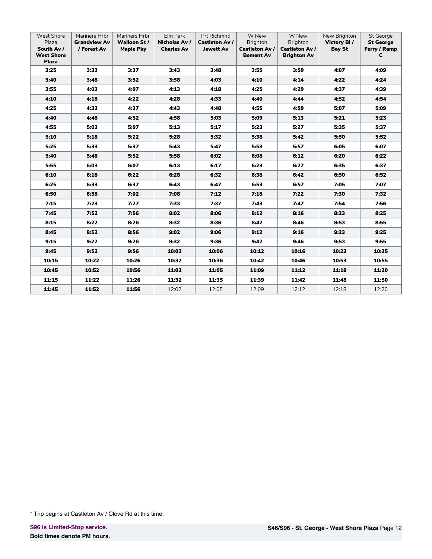| <b>West Shore</b><br>Plaza<br>South Av /<br><b>West Shore</b><br><b>Plaza</b> | Mariners Hrbr<br><b>Grandview Av</b><br>/ Forest Av | Mariners Hrbr<br><b>Walloon St/</b><br><b>Maple Pky</b> | Elm Park<br>Nicholas Av /<br><b>Charles Av</b> | Prt Richmnd<br><b>Castleton Av /</b><br><b>Jewett Av</b> | W New<br><b>Brighton</b><br><b>Castleton Av /</b><br><b>Bement Av</b> | W New<br><b>Brighton</b><br><b>Castleton Av /</b><br><b>Brighton Av</b> | New Brighton<br>Victory BI/<br><b>Bay St</b> | <b>St George</b><br><b>St George</b><br>Ferry / Ramp<br>c |
|-------------------------------------------------------------------------------|-----------------------------------------------------|---------------------------------------------------------|------------------------------------------------|----------------------------------------------------------|-----------------------------------------------------------------------|-------------------------------------------------------------------------|----------------------------------------------|-----------------------------------------------------------|
| 3:25                                                                          | 3:33                                                | 3:37                                                    | 3:43                                           | 3:48                                                     | 3:55                                                                  | 3:59                                                                    | 4:07                                         | 4:09                                                      |
| 3:40                                                                          | 3:48                                                | 3:52                                                    | 3:58                                           | 4:03                                                     | 4:10                                                                  | 4:14                                                                    | 4:22                                         | 4:24                                                      |
| 3:55                                                                          | 4:03                                                | 4:07                                                    | 4:13                                           | 4:18                                                     | 4:25                                                                  | 4:29                                                                    | 4:37                                         | 4:39                                                      |
| 4:10                                                                          | 4:18                                                | 4:22                                                    | 4:28                                           | 4:33                                                     | 4:40                                                                  | 4:44                                                                    | 4:52                                         | 4:54                                                      |
| 4:25                                                                          | 4:33                                                | 4:37                                                    | 4:43                                           | 4:48                                                     | 4:55                                                                  | 4:59                                                                    | 5:07                                         | 5:09                                                      |
| 4:40                                                                          | 4:48                                                | 4:52                                                    | 4:58                                           | 5:03                                                     | 5:09                                                                  | 5:13                                                                    | 5:21                                         | 5:23                                                      |
| 4:55                                                                          | 5:03                                                | 5:07                                                    | 5:13                                           | 5:17                                                     | 5:23                                                                  | 5:27                                                                    | 5:35                                         | 5:37                                                      |
| 5:10                                                                          | 5:18                                                | 5:22                                                    | 5:28                                           | 5:32                                                     | 5:38                                                                  | 5:42                                                                    | 5:50                                         | 5:52                                                      |
| 5:25                                                                          | 5:33                                                | 5:37                                                    | 5:43                                           | 5:47                                                     | 5:53                                                                  | 5:57                                                                    | 6:05                                         | 6:07                                                      |
| 5:40                                                                          | 5:48                                                | 5:52                                                    | 5:58                                           | 6:02                                                     | 6:08                                                                  | 6:12                                                                    | 6:20                                         | 6:22                                                      |
| 5:55                                                                          | 6:03                                                | 6:07                                                    | 6:13                                           | 6:17                                                     | 6:23                                                                  | 6:27                                                                    | 6:35                                         | 6:37                                                      |
| 6:10                                                                          | 6:18                                                | 6:22                                                    | 6:28                                           | 6:32                                                     | 6:38                                                                  | 6:42                                                                    | 6:50                                         | 6:52                                                      |
| 6:25                                                                          | 6:33                                                | 6:37                                                    | 6:43                                           | 6:47                                                     | 6:53                                                                  | 6:57                                                                    | 7:05                                         | 7:07                                                      |
| 6:50                                                                          | 6:58                                                | 7:02                                                    | 7:08                                           | 7:12                                                     | 7:18                                                                  | 7:22                                                                    | 7:30                                         | 7:32                                                      |
| 7:15                                                                          | 7:23                                                | 7:27                                                    | 7:33                                           | 7:37                                                     | 7:43                                                                  | 7:47                                                                    | 7:54                                         | 7:56                                                      |
| 7:45                                                                          | 7:52                                                | 7:56                                                    | 8:02                                           | 8:06                                                     | 8:12                                                                  | 8:16                                                                    | 8:23                                         | 8:25                                                      |
| 8:15                                                                          | 8:22                                                | 8:26                                                    | 8:32                                           | 8:36                                                     | 8:42                                                                  | 8:46                                                                    | 8:53                                         | 8:55                                                      |
| 8:45                                                                          | 8:52                                                | 8:56                                                    | 9:02                                           | 9:06                                                     | 9:12                                                                  | 9:16                                                                    | 9:23                                         | 9:25                                                      |
| 9:15                                                                          | 9:22                                                | 9:26                                                    | 9:32                                           | 9:36                                                     | 9:42                                                                  | 9:46                                                                    | 9:53                                         | 9:55                                                      |
| 9:45                                                                          | 9:52                                                | 9:56                                                    | 10:02                                          | 10:06                                                    | 10:12                                                                 | 10:16                                                                   | 10:23                                        | 10:25                                                     |
| 10:15                                                                         | 10:22                                               | 10:26                                                   | 10:32                                          | 10:36                                                    | 10:42                                                                 | 10:46                                                                   | 10:53                                        | 10:55                                                     |
| 10:45                                                                         | 10:52                                               | 10:56                                                   | 11:02                                          | 11:05                                                    | 11:09                                                                 | 11:12                                                                   | 11:18                                        | 11:20                                                     |
| 11:15                                                                         | 11:22                                               | 11:26                                                   | 11:32                                          | 11:35                                                    | 11:39                                                                 | 11:42                                                                   | 11:48                                        | 11:50                                                     |
| 11:45                                                                         | 11:52                                               | 11:56                                                   | 12:02                                          | 12:05                                                    | 12:09                                                                 | 12:12                                                                   | 12:18                                        | 12:20                                                     |

<sup>\*</sup> Trip begins at Castleton Av / Clove Rd at this time.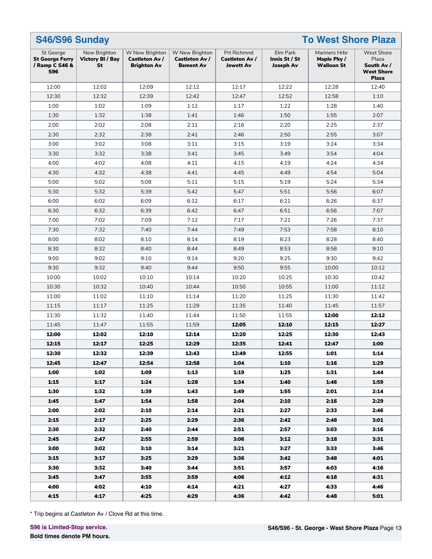| S46/S96 Sunday<br><b>To West Shore Plaza</b>                        |                                               |                                                               |                                                             |                                                   |                                               |                                                   |                                                                               |
|---------------------------------------------------------------------|-----------------------------------------------|---------------------------------------------------------------|-------------------------------------------------------------|---------------------------------------------------|-----------------------------------------------|---------------------------------------------------|-------------------------------------------------------------------------------|
| St George<br><b>St George Ferry</b><br>/ Ramp C S46 &<br><b>S96</b> | New Brighton<br><b>Victory BI / Bay</b><br>St | W New Brighton<br><b>Castleton Av /</b><br><b>Brighton Av</b> | W New Brighton<br><b>Castleton Av /</b><br><b>Bement Av</b> | Prt Richmnd<br>Castleton Av /<br><b>Jewett Av</b> | Elm Park<br>Innis St / St<br><b>Joseph Av</b> | Mariners Hrbr<br>Maple Pky /<br><b>Walloon St</b> | <b>West Shore</b><br>Plaza<br>South Av /<br><b>West Shore</b><br><b>Plaza</b> |
| 12:00                                                               | 12:02                                         | 12:09                                                         | 12:12                                                       | 12:17                                             | 12:22                                         | 12:28                                             | 12:40                                                                         |
| 12:30                                                               | 12:32                                         | 12:39                                                         | 12:42                                                       | 12:47                                             | 12:52                                         | 12:58                                             | 1:10                                                                          |
| 1:00                                                                | 1:02                                          | 1:09                                                          | 1:12                                                        | 1:17                                              | 1:22                                          | 1:28                                              | 1:40                                                                          |
| 1:30                                                                | 1:32                                          | 1:38                                                          | 1:41                                                        | 1:46                                              | 1:50                                          | 1:55                                              | 2:07                                                                          |
| 2:00                                                                | 2:02                                          | 2:08                                                          | 2:11                                                        | 2:16                                              | 2:20                                          | 2:25                                              | 2:37                                                                          |
| 2:30                                                                | 2:32                                          | 2:38                                                          | 2:41                                                        | 2:46                                              | 2:50                                          | 2:55                                              | 3:07                                                                          |
| 3:00                                                                | 3:02                                          | 3:08                                                          | 3:11                                                        | 3:15                                              | 3:19                                          | 3:24                                              | 3:34                                                                          |
| 3:30                                                                | 3:32                                          | 3:38                                                          | 3:41                                                        | 3:45                                              | 3:49                                          | 3:54                                              | 4:04                                                                          |
| 4:00                                                                | 4:02                                          | 4:08                                                          | 4:11                                                        | 4:15                                              | 4:19                                          | 4:24                                              | 4:34                                                                          |
| 4:30                                                                | 4:32                                          | 4:38                                                          | 4:41                                                        | 4:45                                              | 4:49                                          | 4:54                                              | 5:04                                                                          |
| 5:00                                                                | 5:02                                          | 5:08                                                          | 5:11                                                        | 5:15                                              | 5:19                                          | 5:24                                              | 5:34                                                                          |
| 5:30                                                                | 5:32                                          | 5:39                                                          | 5:42                                                        | 5:47                                              | 5:51                                          | 5:56                                              | 6:07                                                                          |
| 6:00                                                                | 6:02                                          | 6:09                                                          | 6:12                                                        | 6:17                                              | 6:21                                          | 6:26                                              | 6:37                                                                          |
| 6:30                                                                | 6:32                                          | 6:39                                                          | 6:42                                                        | 6:47                                              | 6:51                                          | 6:56                                              | 7:07                                                                          |
| 7:00                                                                | 7:02                                          | 7:09                                                          | 7:12                                                        | 7:17                                              | 7:21                                          | 7:26                                              | 7:37                                                                          |
| 7:30                                                                | 7:32                                          | 7:40                                                          | 7:44                                                        | 7:49                                              | 7:53                                          | 7:58                                              | 8:10                                                                          |
| 8:00                                                                | 8:02                                          | 8:10                                                          | 8:14                                                        | 8:19                                              | 8:23                                          | 8:28                                              | 8:40                                                                          |
| 8:30                                                                | 8:32                                          | 8:40                                                          | 8:44                                                        | 8:49                                              | 8:53                                          | 8:58                                              | 9:10                                                                          |
| 9:00                                                                | 9:02                                          | 9:10                                                          | 9:14                                                        | 9:20                                              | 9:25                                          | 9:30                                              | 9:42                                                                          |
| 9:30                                                                | 9:32                                          | 9:40                                                          | 9:44                                                        | 9:50                                              | 9:55                                          | 10:00                                             | 10:12                                                                         |
| 10:00                                                               | 10:02                                         | 10:10                                                         | 10:14                                                       | 10:20                                             | 10:25                                         | 10:30                                             | 10:42                                                                         |
| 10:30                                                               | 10:32                                         | 10:40                                                         | 10:44                                                       | 10:50                                             | 10:55                                         | 11:00                                             | 11:12                                                                         |
| 11:00                                                               | 11:02                                         | 11:10                                                         | 11:14                                                       | 11:20                                             | 11:25                                         | 11:30                                             | 11:42                                                                         |
| 11:15                                                               | 11:17                                         | 11:25                                                         | 11:29                                                       | 11:35                                             | 11:40                                         | 11:45                                             | 11:57                                                                         |
| 11:30                                                               | 11:32                                         | 11:40                                                         | 11:44                                                       | 11:50                                             | 11:55                                         | 12:00                                             | 12:12                                                                         |
| 11:45                                                               | 11:47                                         | 11:55                                                         | 11:59                                                       | 12:05                                             | 12:10                                         | 12:15                                             | 12:27                                                                         |
| 12:00                                                               | 12:02                                         | 12:10                                                         | 12:14                                                       | 12:20                                             | 12:25                                         | 12:30                                             | 12:43                                                                         |
| 12:15                                                               | 12:17                                         | 12:25                                                         | 12:29                                                       | 12:35                                             | 12:41                                         | 12:47                                             | 1:00                                                                          |
| 12:30                                                               | 12:32                                         | 12:39                                                         | 12:43                                                       | 12:49                                             | 12:55                                         | 1:01                                              | 1:14                                                                          |
| 12:45                                                               | 12:47                                         | 12:54                                                         | 12:58                                                       | 1:04                                              | 1:10                                          | 1:16                                              | 1:29                                                                          |
| 1:00                                                                | 1:02                                          | 1:09                                                          | 1:13                                                        | 1:19                                              | 1:25                                          | 1:31                                              | 1:44                                                                          |
| 1:15                                                                | 1:17                                          | 1:24                                                          | 1:28                                                        | 1:34                                              | 1:40                                          | 1:46                                              | 1:59                                                                          |
| 1:30                                                                | 1:32                                          | 1:39                                                          | 1:43                                                        | 1:49                                              | 1:55                                          | 2:01                                              | 2:14                                                                          |
| 1:45                                                                | 1:47                                          | 1:54                                                          | 1:58                                                        | 2:04                                              | 2:10                                          | 2:16                                              | 2:29                                                                          |
| 2:00                                                                | 2:02                                          | 2:10                                                          | 2:14                                                        | 2:21                                              | 2:27                                          | 2:33                                              | 2:46                                                                          |
| 2:15                                                                | 2:17                                          | 2:25                                                          | 2:29                                                        | 2:36                                              | 2:42                                          | 2:48                                              | 3:01                                                                          |
| 2:30                                                                | 2:32                                          | 2:40                                                          | 2:44                                                        | 2:51                                              | 2:57                                          | 3:03                                              | 3:16                                                                          |
| 2:45                                                                | 2:47                                          | 2:55                                                          | 2:59                                                        | 3:06                                              | 3:12                                          | 3:18                                              | 3:31                                                                          |
| 3:00                                                                | 3:02                                          | 3:10                                                          | 3:14                                                        | 3:21                                              | 3:27                                          | 3:33                                              | 3:46                                                                          |
| 3:15                                                                | 3:17                                          | 3:25                                                          | 3:29                                                        | 3:36                                              | 3:42                                          | 3:48                                              | 4:01                                                                          |
| 3:30                                                                | 3:32                                          | 3:40                                                          | 3:44                                                        | 3:51                                              | 3:57                                          | 4:03                                              | 4:16                                                                          |
| 3:45                                                                | 3:47                                          | 3:55                                                          | 3:59                                                        | 4:06                                              | 4:12                                          | 4:18                                              | 4:31                                                                          |
| 4:00                                                                | 4:02                                          | 4:10                                                          | 4:14                                                        | 4:21                                              | 4:27                                          | 4:33                                              | 4:46                                                                          |
| 4:15                                                                | 4:17                                          | 4:25                                                          | 4:29                                                        | 4:36                                              | 4:42                                          | 4:48                                              | 5:01                                                                          |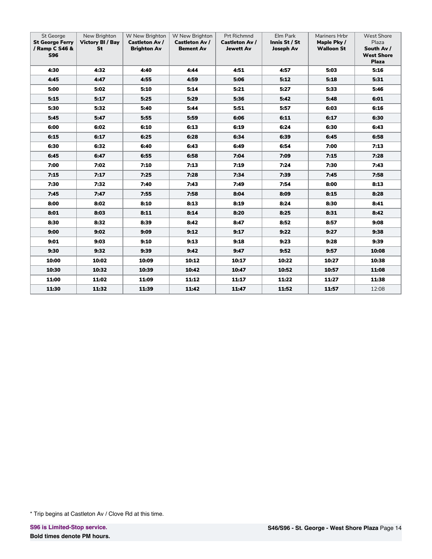| St George<br><b>St George Ferry</b><br>/ Ramp C S46 &<br><b>S96</b> | New Brighton<br><b>Victory BI / Bay</b><br>St | W New Brighton<br><b>Castleton Av /</b><br><b>Brighton Av</b> | W New Brighton<br>Castleton Av /<br><b>Bement Av</b> | Prt Richmnd<br><b>Castleton Av /</b><br><b>Jewett Av</b> | Elm Park<br>Innis St / St<br><b>Joseph Av</b> | Mariners Hrbr<br>Maple Pky/<br><b>Walloon St</b> | <b>West Shore</b><br>Plaza<br>South Av /<br><b>West Shore</b><br><b>Plaza</b> |
|---------------------------------------------------------------------|-----------------------------------------------|---------------------------------------------------------------|------------------------------------------------------|----------------------------------------------------------|-----------------------------------------------|--------------------------------------------------|-------------------------------------------------------------------------------|
| 4:30                                                                | 4:32                                          | 4:40                                                          | 4:44                                                 | 4:51                                                     | 4:57                                          | 5:03                                             | 5:16                                                                          |
| 4:45                                                                | 4:47                                          | 4:55                                                          | 4:59                                                 | 5:06                                                     | 5:12                                          | 5:18                                             | 5:31                                                                          |
| 5:00                                                                | 5:02                                          | 5:10                                                          | 5:14                                                 | 5:21                                                     | 5:27                                          | 5:33                                             | 5:46                                                                          |
| 5:15                                                                | 5:17                                          | 5:25                                                          | 5:29                                                 | 5:36                                                     | 5:42                                          | 5:48                                             | 6:01                                                                          |
| 5:30                                                                | 5:32                                          | 5:40                                                          | 5:44                                                 | 5:51                                                     | 5:57                                          | 6:03                                             | 6:16                                                                          |
| 5:45                                                                | 5:47                                          | 5:55                                                          | 5:59                                                 | 6:06                                                     | 6:11                                          | 6:17                                             | 6:30                                                                          |
| 6:00                                                                | 6:02                                          | 6:10                                                          | 6:13                                                 | 6:19                                                     | 6:24                                          | 6:30                                             | 6:43                                                                          |
| 6:15                                                                | 6:17                                          | 6:25                                                          | 6:28                                                 | 6:34                                                     | 6:39                                          | 6:45                                             | 6:58                                                                          |
| 6:30                                                                | 6:32                                          | 6:40                                                          | 6:43                                                 | 6:49                                                     | 6:54                                          | 7:00                                             | 7:13                                                                          |
| 6:45                                                                | 6:47                                          | 6:55                                                          | 6:58                                                 | 7:04                                                     | 7:09                                          | 7:15                                             | 7:28                                                                          |
| 7:00                                                                | 7:02                                          | 7:10                                                          | 7:13                                                 | 7:19                                                     | 7:24                                          | 7:30                                             | 7:43                                                                          |
| 7:15                                                                | 7:17                                          | 7:25                                                          | 7:28                                                 | 7:34                                                     | 7:39                                          | 7:45                                             | 7:58                                                                          |
| 7:30                                                                | 7:32                                          | 7:40                                                          | 7:43                                                 | 7:49                                                     | 7:54                                          | 8:00                                             | 8:13                                                                          |
| 7:45                                                                | 7:47                                          | 7:55                                                          | 7:58                                                 | 8:04                                                     | 8:09                                          | 8:15                                             | 8:28                                                                          |
| 8:00                                                                | 8:02                                          | 8:10                                                          | 8:13                                                 | 8:19                                                     | 8:24                                          | 8:30                                             | 8:41                                                                          |
| 8:01                                                                | 8:03                                          | 8:11                                                          | 8:14                                                 | 8:20                                                     | 8:25                                          | 8:31                                             | 8:42                                                                          |
| 8:30                                                                | 8:32                                          | 8:39                                                          | 8:42                                                 | 8:47                                                     | 8:52                                          | 8:57                                             | 9:08                                                                          |
| 9:00                                                                | 9:02                                          | 9:09                                                          | 9:12                                                 | 9:17                                                     | 9:22                                          | 9:27                                             | 9:38                                                                          |
| 9:01                                                                | 9:03                                          | 9:10                                                          | 9:13                                                 | 9:18                                                     | 9:23                                          | 9:28                                             | 9:39                                                                          |
| 9:30                                                                | 9:32                                          | 9:39                                                          | 9:42                                                 | 9:47                                                     | 9:52                                          | 9:57                                             | 10:08                                                                         |
| 10:00                                                               | 10:02                                         | 10:09                                                         | 10:12                                                | 10:17                                                    | 10:22                                         | 10:27                                            | 10:38                                                                         |
| 10:30                                                               | 10:32                                         | 10:39                                                         | 10:42                                                | 10:47                                                    | 10:52                                         | 10:57                                            | 11:08                                                                         |
| 11:00                                                               | 11:02                                         | 11:09                                                         | 11:12                                                | 11:17                                                    | 11:22                                         | 11:27                                            | 11:38                                                                         |
| 11:30                                                               | 11:32                                         | 11:39                                                         | 11:42                                                | 11:47                                                    | 11:52                                         | 11:57                                            | 12:08                                                                         |

<sup>\*</sup> Trip begins at Castleton Av / Clove Rd at this time.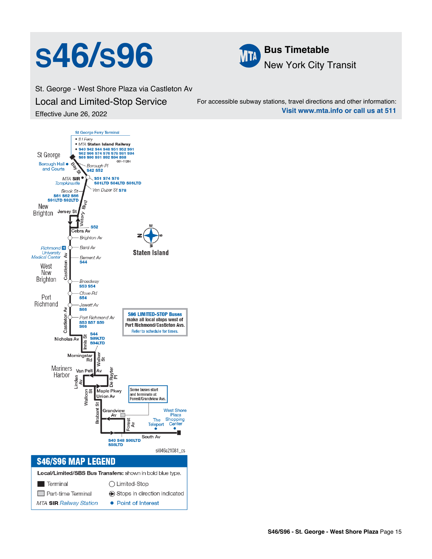## **S46/S96 ME Bus Timetable**



St. George - West Shore Plaza via Castleton Av Local and Limited-Stop Service Effective June 26, 2022

For accessible subway stations, travel directions and other information: **Visit www.mta.info or call us at 511**

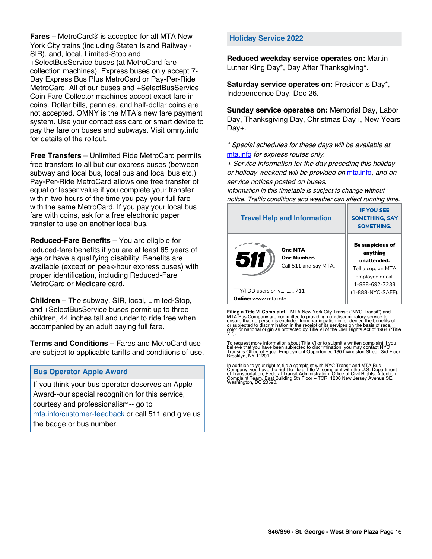**Fares** – MetroCard® is accepted for all MTA New York City trains (including Staten Island Railway - SIR), and, local, Limited-Stop and +SelectBusService buses (at MetroCard fare collection machines). Express buses only accept 7- Day Express Bus Plus MetroCard or Pay-Per-Ride MetroCard. All of our buses and +SelectBusService Coin Fare Collector machines accept exact fare in coins. Dollar bills, pennies, and half-dollar coins are not accepted. OMNY is the MTA's new fare payment system. Use your contactless card or smart device to pay the fare on buses and subways. Visit omny.info for details of the rollout.

**Free Transfers** – Unlimited Ride MetroCard permits free transfers to all but our express buses (between subway and local bus, local bus and local bus etc.) Pay-Per-Ride MetroCard allows one free transfer of equal or lesser value if you complete your transfer within two hours of the time you pay your full fare with the same MetroCard. If you pay your local bus fare with coins, ask for a free electronic paper transfer to use on another local bus.

**Reduced-Fare Benefits** – You are eligible for reduced-fare benefits if you are at least 65 years of age or have a qualifying disability. Benefits are available (except on peak-hour express buses) with proper identification, including Reduced-Fare MetroCard or Medicare card.

**Children** – The subway, SIR, local, Limited-Stop, and +SelectBusService buses permit up to three children, 44 inches tall and under to ride free when accompanied by an adult paying full fare.

**Terms and Conditions** – Fares and MetroCard use are subject to applicable tariffs and conditions of use.

#### **Bus Operator Apple Award**

If you think your bus operator deserves an Apple Award--our special recognition for this service, courtesy and professionalism-- go to mta.info/customer-feedback or call 511 and give us the badge or bus number.

#### **Holiday Service 2022**

**Reduced weekday service operates on:** Martin Luther King Day\*, Day After Thanksgiving\*.

**Saturday service operates on:** Presidents Day\*, Independence Day, Dec 26.

**Sunday service operates on:** Memorial Day, Labor Day, Thanksgiving Day, Christmas Day+, New Years Day+.

\* Special schedules for these days will be available at [mta.info](https://new.mta.info/) for express routes only.

+ Service information for the day preceding this holiday or holiday weekend will be provided on [mta.info](https://new.mta.info/), and on service notices posted on buses.

Information in this timetable is subject to change without notice. Traffic conditions and weather can affect running time.

| <b>Travel Help and Information</b>                            | <b>IF YOU SEE</b><br><b>SOMETHING, SAY</b><br><b>SOMETHING.</b>                                                |  |  |
|---------------------------------------------------------------|----------------------------------------------------------------------------------------------------------------|--|--|
| <b>One MTA</b><br>511<br>One Number.<br>Call 511 and say MTA. | <b>Be suspicious of</b><br>anything<br>unattended.<br>Tell a cop, an MTA<br>employee or call<br>1-888-692-7233 |  |  |
| TTY/TDD users only 711                                        | (1-888-NYC-SAFE).                                                                                              |  |  |
| <b>Online:</b> www.mta.info                                   |                                                                                                                |  |  |

**Filing a Title VI Complaint** – MTA New York City Transit ("NYC Transit") and<br>MTA Bus Company are committed to providing non-discriminatory service to<br>ensure that no person is excluded from participation in, or denied the

To request more information about Title VI or to submit a written complaint if you believe that you have been subjected to discrimination, you may contact NYC<br>Transit's Office of Equal Employment Opportunity, 130 Livingston Street, 3rd Floor,<br>Brooklyn, NY 11201.

In addition to your right to file a complaint with NYC Transit and MTA Bus<br>Company, you have the right to file a Title VI complaint with the U.S. Department<br>of Transportation, Federal Transit Administration, Office of Civi